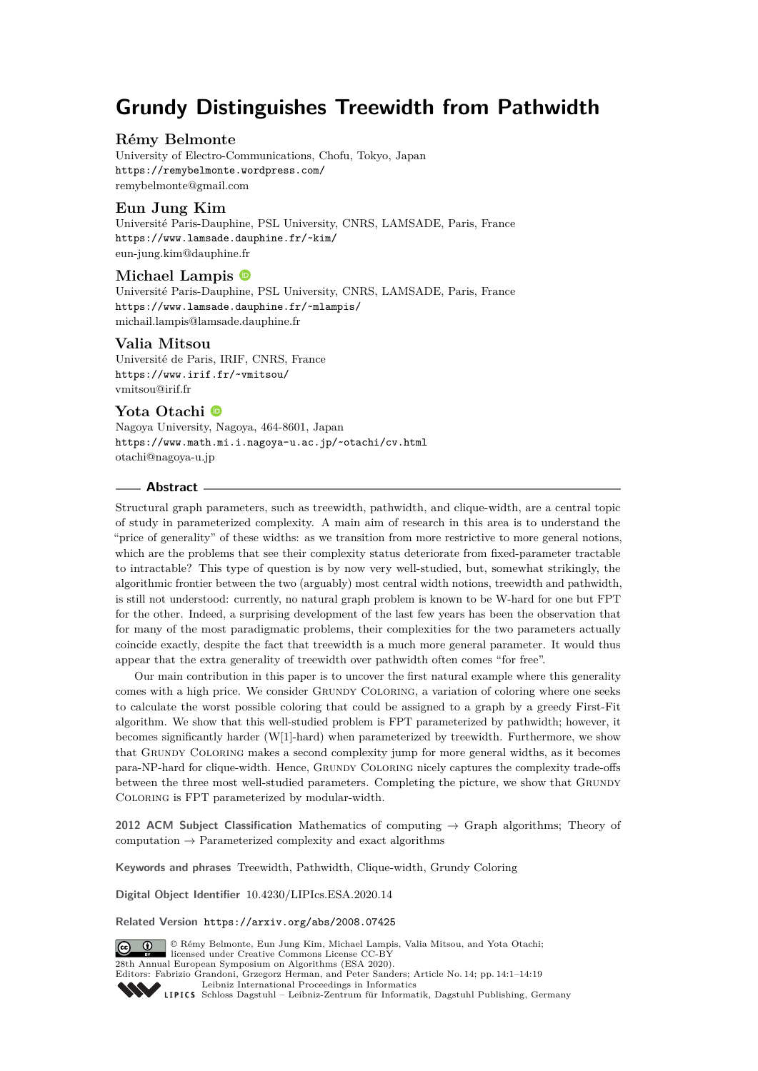# **Grundy Distinguishes Treewidth from Pathwidth**

# **Rémy Belmonte**

University of Electro-Communications, Chofu, Tokyo, Japan <https://remybelmonte.wordpress.com/> [remybelmonte@gmail.com](mailto:remybelmonte@gmail.com)

# **Eun Jung Kim**

Université Paris-Dauphine, PSL University, CNRS, LAMSADE, Paris, France <https://www.lamsade.dauphine.fr/~kim/> [eun-jung.kim@dauphine.fr](mailto:eun-jung.kim@dauphine.fr)

# **Michael Lampis**

Université Paris-Dauphine, PSL University, CNRS, LAMSADE, Paris, France <https://www.lamsade.dauphine.fr/~mlampis/> [michail.lampis@lamsade.dauphine.fr](mailto:michail.lampis@lamsade.dauphine.fr)

### **Valia Mitsou**

Université de Paris, IRIF, CNRS, France <https://www.irif.fr/~vmitsou/> [vmitsou@irif.fr](mailto:vmitsou@irif.fr)

# **Yota Otachi**

Nagoya University, Nagoya, 464-8601, Japan <https://www.math.mi.i.nagoya-u.ac.jp/~otachi/cv.html> [otachi@nagoya-u.jp](mailto:otachi@nagoya-u.jp)

### **Abstract**

Structural graph parameters, such as treewidth, pathwidth, and clique-width, are a central topic of study in parameterized complexity. A main aim of research in this area is to understand the "price of generality" of these widths: as we transition from more restrictive to more general notions, which are the problems that see their complexity status deteriorate from fixed-parameter tractable to intractable? This type of question is by now very well-studied, but, somewhat strikingly, the algorithmic frontier between the two (arguably) most central width notions, treewidth and pathwidth, is still not understood: currently, no natural graph problem is known to be W-hard for one but FPT for the other. Indeed, a surprising development of the last few years has been the observation that for many of the most paradigmatic problems, their complexities for the two parameters actually coincide exactly, despite the fact that treewidth is a much more general parameter. It would thus appear that the extra generality of treewidth over pathwidth often comes "for free".

Our main contribution in this paper is to uncover the first natural example where this generality comes with a high price. We consider GRUNDY COLORING, a variation of coloring where one seeks to calculate the worst possible coloring that could be assigned to a graph by a greedy First-Fit algorithm. We show that this well-studied problem is FPT parameterized by pathwidth; however, it becomes significantly harder (W[1]-hard) when parameterized by treewidth. Furthermore, we show that Grundy Coloring makes a second complexity jump for more general widths, as it becomes para-NP-hard for clique-width. Hence, Grundy Coloring nicely captures the complexity trade-offs between the three most well-studied parameters. Completing the picture, we show that GRUNDY Coloring is FPT parameterized by modular-width.

**2012 ACM Subject Classification** Mathematics of computing → Graph algorithms; Theory of computation  $\rightarrow$  Parameterized complexity and exact algorithms

**Keywords and phrases** Treewidth, Pathwidth, Clique-width, Grundy Coloring

**Digital Object Identifier** [10.4230/LIPIcs.ESA.2020.14](https://doi.org/10.4230/LIPIcs.ESA.2020.14)

**Related Version** <https://arxiv.org/abs/2008.07425>



© Rémy Belmonte, Eun Jung Kim, Michael Lampis, Valia Mitsou, and Yota Otachi;  $\boxed{6}$  0 licensed under Creative Commons License CC-BY 28th Annual European Symposium on Algorithms (ESA 2020). Editors: Fabrizio Grandoni, Grzegorz Herman, and Peter Sanders; Article No. 14; pp. 14:1–14[:19](#page-18-0) [Leibniz International Proceedings in Informatics](https://www.dagstuhl.de/lipics/)

Leibniz International Froceedings in miormatics<br>
LIPICS [Schloss Dagstuhl – Leibniz-Zentrum für Informatik, Dagstuhl Publishing, Germany](https://www.dagstuhl.de)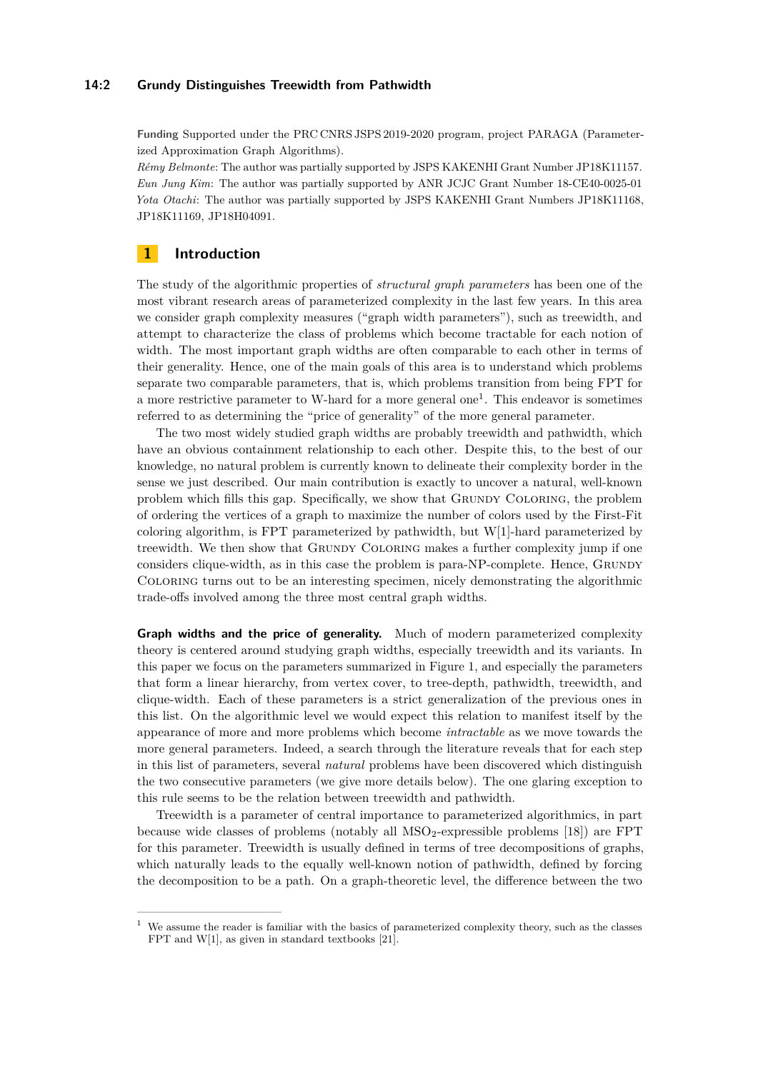### **14:2 Grundy Distinguishes Treewidth from Pathwidth**

**Funding** Supported under the PRC CNRS JSPS 2019-2020 program, project PARAGA (Parameterized Approximation Graph Algorithms).

*Rémy Belmonte*: The author was partially supported by JSPS KAKENHI Grant Number JP18K11157. *Eun Jung Kim*: The author was partially supported by ANR JCJC Grant Number 18-CE40-0025-01 *Yota Otachi*: The author was partially supported by JSPS KAKENHI Grant Numbers JP18K11168, JP18K11169, JP18H04091.

# **1 Introduction**

The study of the algorithmic properties of *structural graph parameters* has been one of the most vibrant research areas of parameterized complexity in the last few years. In this area we consider graph complexity measures ("graph width parameters"), such as treewidth, and attempt to characterize the class of problems which become tractable for each notion of width. The most important graph widths are often comparable to each other in terms of their generality. Hence, one of the main goals of this area is to understand which problems separate two comparable parameters, that is, which problems transition from being FPT for a more restrictive parameter to W-hard for a more general one<sup>[1](#page-1-0)</sup>. This endeavor is sometimes referred to as determining the "price of generality" of the more general parameter.

The two most widely studied graph widths are probably treewidth and pathwidth, which have an obvious containment relationship to each other. Despite this, to the best of our knowledge, no natural problem is currently known to delineate their complexity border in the sense we just described. Our main contribution is exactly to uncover a natural, well-known problem which fills this gap. Specifically, we show that Grundy Coloring, the problem of ordering the vertices of a graph to maximize the number of colors used by the First-Fit coloring algorithm, is FPT parameterized by pathwidth, but W[1]-hard parameterized by treewidth. We then show that GRUNDY COLORING makes a further complexity jump if one considers clique-width, as in this case the problem is para-NP-complete. Hence, Grundy Coloring turns out to be an interesting specimen, nicely demonstrating the algorithmic trade-offs involved among the three most central graph widths.

**Graph widths and the price of generality.** Much of modern parameterized complexity theory is centered around studying graph widths, especially treewidth and its variants. In this paper we focus on the parameters summarized in Figure [1,](#page-2-0) and especially the parameters that form a linear hierarchy, from vertex cover, to tree-depth, pathwidth, treewidth, and clique-width. Each of these parameters is a strict generalization of the previous ones in this list. On the algorithmic level we would expect this relation to manifest itself by the appearance of more and more problems which become *intractable* as we move towards the more general parameters. Indeed, a search through the literature reveals that for each step in this list of parameters, several *natural* problems have been discovered which distinguish the two consecutive parameters (we give more details below). The one glaring exception to this rule seems to be the relation between treewidth and pathwidth.

Treewidth is a parameter of central importance to parameterized algorithmics, in part because wide classes of problems (notably all  $MSO<sub>2</sub>$ -expressible problems [\[18\]](#page-15-0)) are FPT for this parameter. Treewidth is usually defined in terms of tree decompositions of graphs, which naturally leads to the equally well-known notion of pathwidth, defined by forcing the decomposition to be a path. On a graph-theoretic level, the difference between the two

<span id="page-1-0"></span>We assume the reader is familiar with the basics of parameterized complexity theory, such as the classes FPT and W[1], as given in standard textbooks [\[21\]](#page-15-1).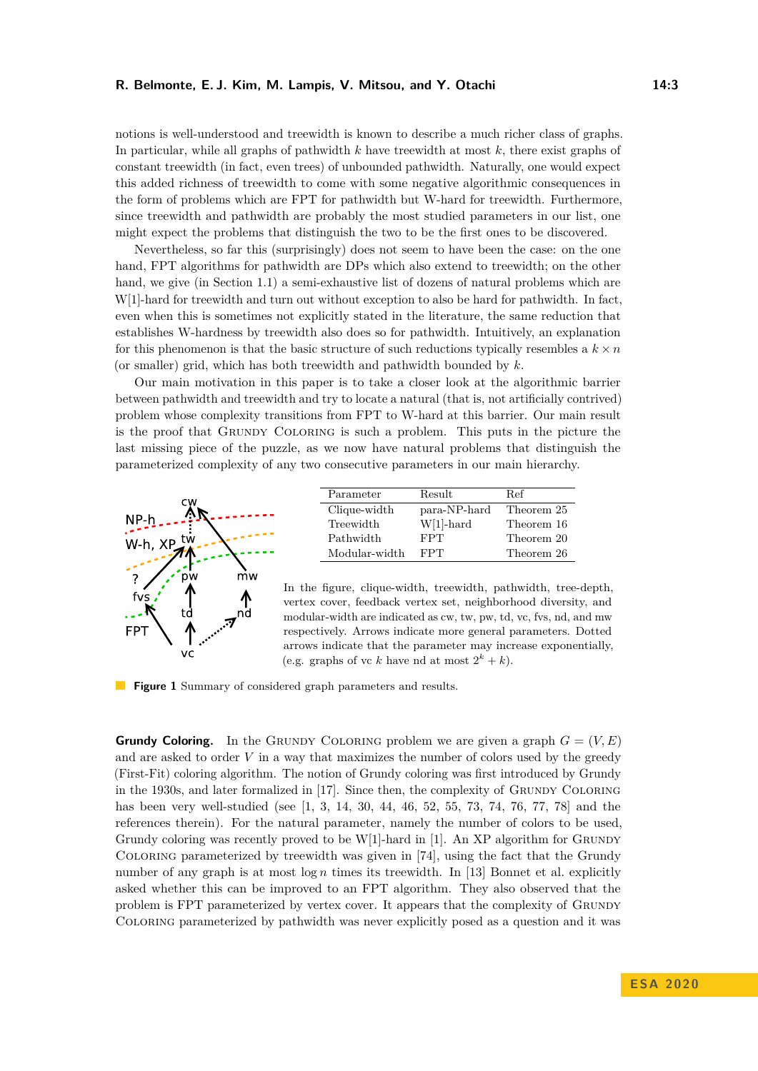notions is well-understood and treewidth is known to describe a much richer class of graphs. In particular, while all graphs of pathwidth *k* have treewidth at most *k*, there exist graphs of constant treewidth (in fact, even trees) of unbounded pathwidth. Naturally, one would expect this added richness of treewidth to come with some negative algorithmic consequences in the form of problems which are FPT for pathwidth but W-hard for treewidth. Furthermore, since treewidth and pathwidth are probably the most studied parameters in our list, one might expect the problems that distinguish the two to be the first ones to be discovered.

Nevertheless, so far this (surprisingly) does not seem to have been the case: on the one hand, FPT algorithms for pathwidth are DPs which also extend to treewidth; on the other hand, we give (in Section [1.1\)](#page-4-0) a semi-exhaustive list of dozens of natural problems which are W[1]-hard for treewidth and turn out without exception to also be hard for pathwidth. In fact, even when this is sometimes not explicitly stated in the literature, the same reduction that establishes W-hardness by treewidth also does so for pathwidth. Intuitively, an explanation for this phenomenon is that the basic structure of such reductions typically resembles a  $k \times n$ (or smaller) grid, which has both treewidth and pathwidth bounded by *k*.

Our main motivation in this paper is to take a closer look at the algorithmic barrier between pathwidth and treewidth and try to locate a natural (that is, not artificially contrived) problem whose complexity transitions from FPT to W-hard at this barrier. Our main result is the proof that Grundy Coloring is such a problem. This puts in the picture the last missing piece of the puzzle, as we now have natural problems that distinguish the parameterized complexity of any two consecutive parameters in our main hierarchy.

<span id="page-2-0"></span>

| Parameter     | Result       | Ref        |
|---------------|--------------|------------|
| Clique-width  | para-NP-hard | Theorem 25 |
| Treewidth     | $W[1]$ -hard | Theorem 16 |
| Pathwidth     | <b>FPT</b>   | Theorem 20 |
| Modular-width | FPT          | Theorem 26 |

In the figure, clique-width, treewidth, pathwidth, tree-depth, vertex cover, feedback vertex set, neighborhood diversity, and modular-width are indicated as cw, tw, pw, td, vc, fvs, nd, and mw respectively. Arrows indicate more general parameters. Dotted arrows indicate that the parameter may increase exponentially, (e.g. graphs of vc *k* have nd at most  $2^k + k$ ).

**Figure 1** Summary of considered graph parameters and results.

**Grundy Coloring.** In the GRUNDY COLORING problem we are given a graph  $G = (V, E)$ and are asked to order *V* in a way that maximizes the number of colors used by the greedy (First-Fit) coloring algorithm. The notion of Grundy coloring was first introduced by Grundy in the 1930s, and later formalized in [\[17\]](#page-15-2). Since then, the complexity of GRUNDY COLORING has been very well-studied (see [\[1,](#page-14-0) [3,](#page-14-1) [14,](#page-14-2) [30,](#page-15-3) [44,](#page-16-0) [46,](#page-17-0) [52,](#page-17-1) [55,](#page-17-2) [73,](#page-18-1) [74,](#page-18-2) [76,](#page-18-3) [77,](#page-18-4) [78\]](#page-18-5) and the references therein). For the natural parameter, namely the number of colors to be used, Grundy coloring was recently proved to be  $W[1]$  $W[1]$ -hard in [1]. An XP algorithm for GRUNDY Coloring parameterized by treewidth was given in [\[74\]](#page-18-2), using the fact that the Grundy number of any graph is at most  $\log n$  times its treewidth. In [\[13\]](#page-14-3) Bonnet et al. explicitly asked whether this can be improved to an FPT algorithm. They also observed that the problem is FPT parameterized by vertex cover. It appears that the complexity of Grundy Coloring parameterized by pathwidth was never explicitly posed as a question and it was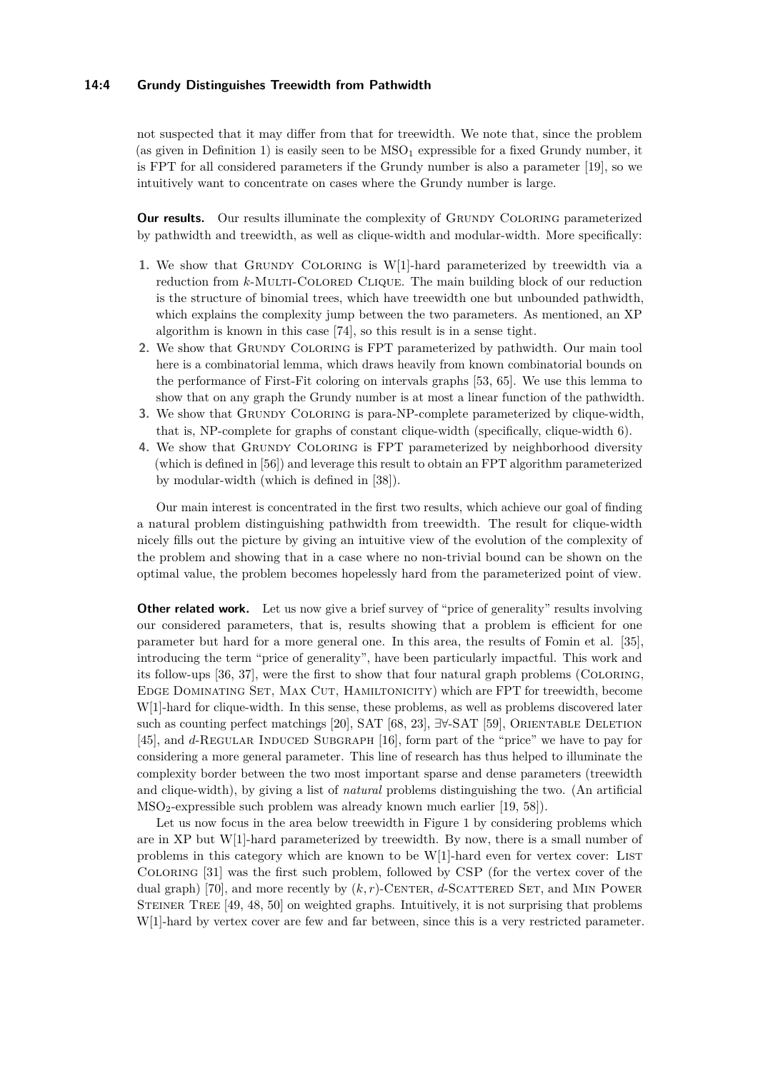### **14:4 Grundy Distinguishes Treewidth from Pathwidth**

not suspected that it may differ from that for treewidth. We note that, since the problem (as given in Definition [1\)](#page-5-0) is easily seen to be  $MSO<sub>1</sub>$  expressible for a fixed Grundy number, it is FPT for all considered parameters if the Grundy number is also a parameter [\[19\]](#page-15-4), so we intuitively want to concentrate on cases where the Grundy number is large.

**Our results.** Our results illuminate the complexity of GRUNDY COLORING parameterized by pathwidth and treewidth, as well as clique-width and modular-width. More specifically:

- 1. We show that GRUNDY COLORING is W[1]-hard parameterized by treewidth via a reduction from *k*-MULTI-COLORED CLIQUE. The main building block of our reduction is the structure of binomial trees, which have treewidth one but unbounded pathwidth, which explains the complexity jump between the two parameters. As mentioned, an XP algorithm is known in this case [\[74\]](#page-18-2), so this result is in a sense tight.
- **2.** We show that Grundy Coloring is FPT parameterized by pathwidth. Our main tool here is a combinatorial lemma, which draws heavily from known combinatorial bounds on the performance of First-Fit coloring on intervals graphs [\[53,](#page-17-3) [65\]](#page-18-6). We use this lemma to show that on any graph the Grundy number is at most a linear function of the pathwidth.
- **3.** We show that Grundy Coloring is para-NP-complete parameterized by clique-width, that is, NP-complete for graphs of constant clique-width (specifically, clique-width 6).
- 4. We show that GRUNDY COLORING is FPT parameterized by neighborhood diversity (which is defined in [\[56\]](#page-17-4)) and leverage this result to obtain an FPT algorithm parameterized by modular-width (which is defined in [\[38\]](#page-16-1)).

Our main interest is concentrated in the first two results, which achieve our goal of finding a natural problem distinguishing pathwidth from treewidth. The result for clique-width nicely fills out the picture by giving an intuitive view of the evolution of the complexity of the problem and showing that in a case where no non-trivial bound can be shown on the optimal value, the problem becomes hopelessly hard from the parameterized point of view.

**Other related work.** Let us now give a brief survey of "price of generality" results involving our considered parameters, that is, results showing that a problem is efficient for one parameter but hard for a more general one. In this area, the results of Fomin et al. [\[35\]](#page-16-2), introducing the term "price of generality", have been particularly impactful. This work and its follow-ups [\[36,](#page-16-3) [37\]](#page-16-4), were the first to show that four natural graph problems (Coloring, Edge Dominating Set, Max Cut, Hamiltonicity) which are FPT for treewidth, become W[1]-hard for clique-width. In this sense, these problems, as well as problems discovered later such as counting perfect matchings [\[20\]](#page-15-5), SAT [\[68,](#page-18-7) [23\]](#page-15-6), ∃∀-SAT [\[59\]](#page-17-5), ORIENTABLE DELETION [\[45\]](#page-16-5), and *d*-REGULAR INDUCED SUBGRAPH [\[16\]](#page-15-7), form part of the "price" we have to pay for considering a more general parameter. This line of research has thus helped to illuminate the complexity border between the two most important sparse and dense parameters (treewidth and clique-width), by giving a list of *natural* problems distinguishing the two. (An artificial  $MSO<sub>2</sub>$ -expressible such problem was already known much earlier [\[19,](#page-15-4) [58\]](#page-17-6)).

Let us now focus in the area below treewidth in Figure [1](#page-2-0) by considering problems which are in XP but W[1]-hard parameterized by treewidth. By now, there is a small number of problems in this category which are known to be  $W[1]$ -hard even for vertex cover: LIST Coloring [\[31\]](#page-16-6) was the first such problem, followed by CSP (for the vertex cover of the dual graph) [\[70\]](#page-18-8), and more recently by  $(k, r)$ -CENTER,  $d$ -SCATTERED SET, and MIN POWER STEINER TREE [\[49,](#page-17-7) [48,](#page-17-8) [50\]](#page-17-9) on weighted graphs. Intuitively, it is not surprising that problems W[1]-hard by vertex cover are few and far between, since this is a very restricted parameter.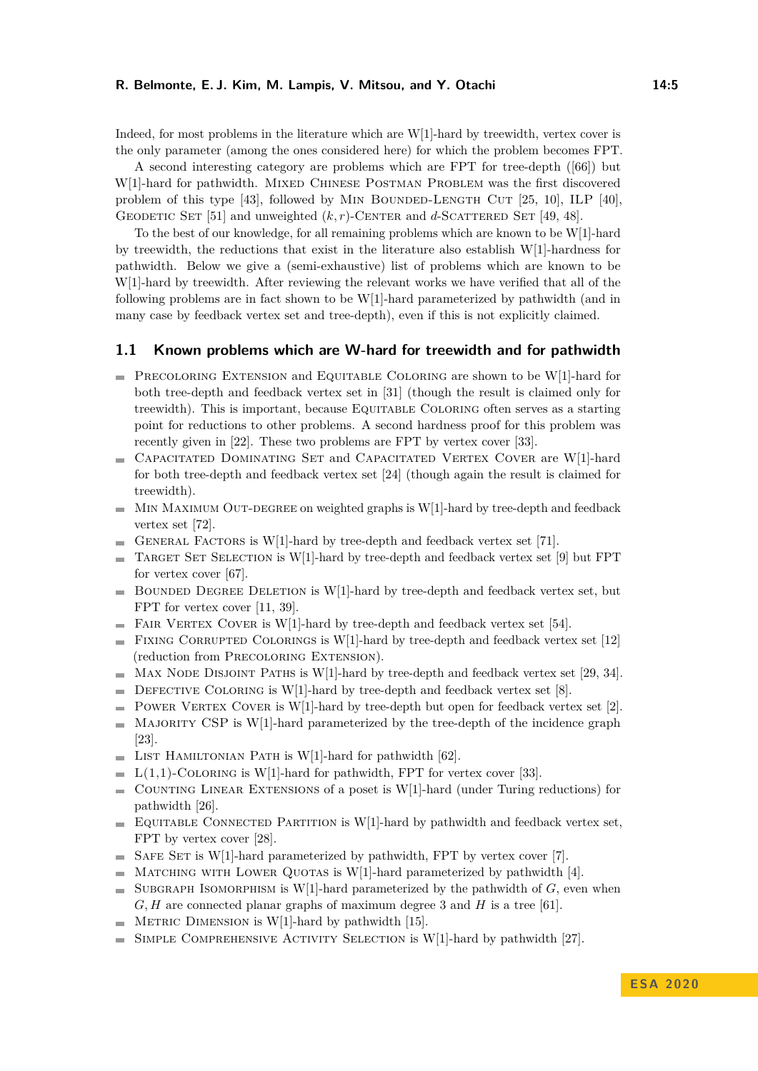Indeed, for most problems in the literature which are W[1]-hard by treewidth, vertex cover is the only parameter (among the ones considered here) for which the problem becomes FPT.

A second interesting category are problems which are FPT for tree-depth ([\[66\]](#page-18-9)) but W[1]-hard for pathwidth. MIXED CHINESE POSTMAN PROBLEM was the first discovered problem of this type  $[43]$ , followed by MIN BOUNDED-LENGTH CUT  $[25, 10]$  $[25, 10]$  $[25, 10]$ , ILP  $[40]$ , GEODETIC SET [\[51\]](#page-17-10) and unweighted  $(k, r)$ -CENTER and *d*-SCATTERED SET [\[49,](#page-17-7) [48\]](#page-17-8).

To the best of our knowledge, for all remaining problems which are known to be W[1]-hard by treewidth, the reductions that exist in the literature also establish W[1]-hardness for pathwidth. Below we give a (semi-exhaustive) list of problems which are known to be W[1]-hard by treewidth. After reviewing the relevant works we have verified that all of the following problems are in fact shown to be W[1]-hard parameterized by pathwidth (and in many case by feedback vertex set and tree-depth), even if this is not explicitly claimed.

### <span id="page-4-0"></span>**1.1 Known problems which are W-hard for treewidth and for pathwidth**

- $\blacksquare$  PRECOLORING EXTENSION and EQUITABLE COLORING are shown to be W[1]-hard for both tree-depth and feedback vertex set in [\[31\]](#page-16-6) (though the result is claimed only for treewidth). This is important, because Equitable Coloring often serves as a starting point for reductions to other problems. A second hardness proof for this problem was recently given in [\[22\]](#page-15-9). These two problems are FPT by vertex cover [\[33\]](#page-16-9).
- Capacitated Dominating Set and Capacitated Vertex Cover are W[1]-hard m. for both tree-depth and feedback vertex set [\[24\]](#page-15-10) (though again the result is claimed for treewidth).
- $\blacksquare$  MIN MAXIMUM OUT-DEGREE on weighted graphs is W[1]-hard by tree-depth and feedback vertex set [\[72\]](#page-18-10).
- GENERAL FACTORS is  $W[1]$ -hard by tree-depth and feedback vertex set [\[71\]](#page-18-11).
- TARGET SET SELECTION is W[1]-hard by tree-depth and feedback vertex set [\[9\]](#page-14-5) but FPT  $\sim$ for vertex cover [\[67\]](#page-18-12).
- BOUNDED DEGREE DELETION is W[1]-hard by tree-depth and feedback vertex set, but FPT for vertex cover [\[11,](#page-14-6) [39\]](#page-16-10).
- FAIR VERTEX COVER is W[1]-hard by tree-depth and feedback vertex set [\[54\]](#page-17-11).  $\rightarrow$
- FIXING CORRUPTED COLORINGS is W[1]-hard by tree-depth and feedback vertex set  $[12]$ (reduction from Precoloring Extension).
- MAX NODE DISJOINT PATHS is W[1]-hard by tree-depth and feedback vertex set [\[29,](#page-15-11) [34\]](#page-16-11).
- DEFECTIVE COLORING is W[1]-hard by tree-depth and feedback vertex set [\[8\]](#page-14-8).  $\blacksquare$
- POWER VERTEX COVER is W[1]-hard by tree-depth but open for feedback vertex set [\[2\]](#page-14-9).  $\overline{\phantom{a}}$
- MAJORITY CSP is W[1]-hard parameterized by the tree-depth of the incidence graph  $\overline{\phantom{a}}$ [\[23\]](#page-15-6).
- LIST HAMILTONIAN PATH is W[1]-hard for pathwidth  $[62]$ .  $\sim$
- $\blacksquare$  L(1,1)-COLORING is W[1]-hard for pathwidth, FPT for vertex cover [\[33\]](#page-16-9).
- COUNTING LINEAR EXTENSIONS of a poset is W[1]-hard (under Turing reductions) for  $\sim$ pathwidth [\[26\]](#page-15-12).
- $\blacksquare$  Equitable Connected Partition is W[1]-hard by pathwidth and feedback vertex set, FPT by vertex cover [\[28\]](#page-15-13).
- SAFE SET is W[1]-hard parameterized by pathwidth, FPT by vertex cover [\[7\]](#page-14-10).  $\sim$
- MATCHING WITH LOWER QUOTAS is W[1]-hard parameterized by pathwidth [\[4\]](#page-14-11). and in
- SUBGRAPH ISOMORPHISM is W[1]-hard parameterized by the pathwidth of  $G$ , even when  $\rightarrow$ *G, H* are connected planar graphs of maximum degree 3 and *H* is a tree [\[61\]](#page-17-13).
- $\blacksquare$  METRIC DIMENSION is W[1]-hard by pathwidth [\[15\]](#page-15-14).
- Simple Comprehensive Activity Selection is W[1]-hard by pathwidth [\[27\]](#page-15-15).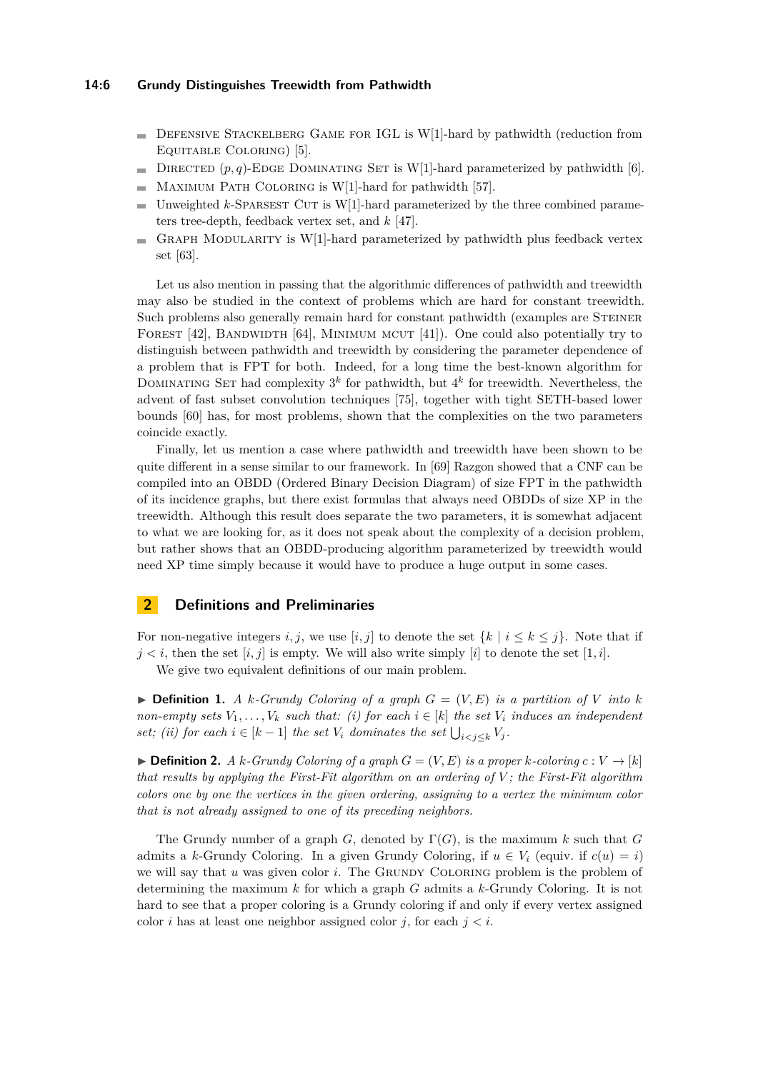- $\blacksquare$  DEFENSIVE STACKELBERG GAME FOR IGL is W[1]-hard by pathwidth (reduction from Equitable Coloring) [\[5\]](#page-14-12).
- DIRECTED  $(p, q)$ -EDGE DOMINATING SET is W[1]-hard parameterized by pathwidth [\[6\]](#page-14-13).  $\sim$
- Maximum Path Coloring is W[1]-hard for pathwidth [\[57\]](#page-17-14).  $\frac{1}{2}$
- Unweighted  $k$ -Sparsest Cut is W[1]-hard parameterized by the three combined parame- $\blacksquare$ ters tree-depth, feedback vertex set, and *k* [\[47\]](#page-17-15).
- GRAPH MODULARITY is  $W[1]$ -hard parameterized by pathwidth plus feedback vertex set [\[63\]](#page-18-13).

Let us also mention in passing that the algorithmic differences of pathwidth and treewidth may also be studied in the context of problems which are hard for constant treewidth. Such problems also generally remain hard for constant pathwidth (examples are Steiner FOREST  $[42]$ , BANDWIDTH  $[64]$ , MINIMUM MCUT  $[41]$ ). One could also potentially try to distinguish between pathwidth and treewidth by considering the parameter dependence of a problem that is FPT for both. Indeed, for a long time the best-known algorithm for DOMINATING SET had complexity  $3^k$  for pathwidth, but  $4^k$  for treewidth. Nevertheless, the advent of fast subset convolution techniques [\[75\]](#page-18-15), together with tight SETH-based lower bounds [\[60\]](#page-17-16) has, for most problems, shown that the complexities on the two parameters coincide exactly.

Finally, let us mention a case where pathwidth and treewidth have been shown to be quite different in a sense similar to our framework. In [\[69\]](#page-18-16) Razgon showed that a CNF can be compiled into an OBDD (Ordered Binary Decision Diagram) of size FPT in the pathwidth of its incidence graphs, but there exist formulas that always need OBDDs of size XP in the treewidth. Although this result does separate the two parameters, it is somewhat adjacent to what we are looking for, as it does not speak about the complexity of a decision problem, but rather shows that an OBDD-producing algorithm parameterized by treewidth would need XP time simply because it would have to produce a huge output in some cases.

### **2 Definitions and Preliminaries**

For non-negative integers *i, j*, we use [*i, j*] to denote the set  $\{k \mid i \leq k \leq j\}$ . Note that if  $j < i$ , then the set  $[i, j]$  is empty. We will also write simply  $[i]$  to denote the set  $[1, i]$ .

We give two equivalent definitions of our main problem.

<span id="page-5-0"></span> $\triangleright$  **Definition 1.** *A k-Grundy Coloring of a graph*  $G = (V, E)$  *is a partition of V into k non-empty sets*  $V_1, \ldots, V_k$  *such that: (i) for each*  $i \in [k]$  *the set*  $V_i$  *induces an independent set; (ii) for each*  $i \in [k-1]$  *the set*  $V_i$  *dominates the set*  $\bigcup_{i < j \leq k} V_j$ *.* 

 $\blacktriangleright$  **Definition 2.** *A k-Grundy Coloring of a graph*  $G = (V, E)$  *is a proper k-coloring*  $c: V \rightarrow [k]$ *that results by applying the First-Fit algorithm on an ordering of V ; the First-Fit algorithm colors one by one the vertices in the given ordering, assigning to a vertex the minimum color that is not already assigned to one of its preceding neighbors.*

The Grundy number of a graph *G*, denoted by Γ(*G*), is the maximum *k* such that *G* admits a *k*-Grundy Coloring. In a given Grundy Coloring, if  $u \in V_i$  (equiv. if  $c(u) = i$ ) we will say that *u* was given color *i*. The GRUNDY COLORING problem is the problem of determining the maximum *k* for which a graph *G* admits a *k*-Grundy Coloring. It is not hard to see that a proper coloring is a Grundy coloring if and only if every vertex assigned color *i* has at least one neighbor assigned color *j*, for each  $j < i$ .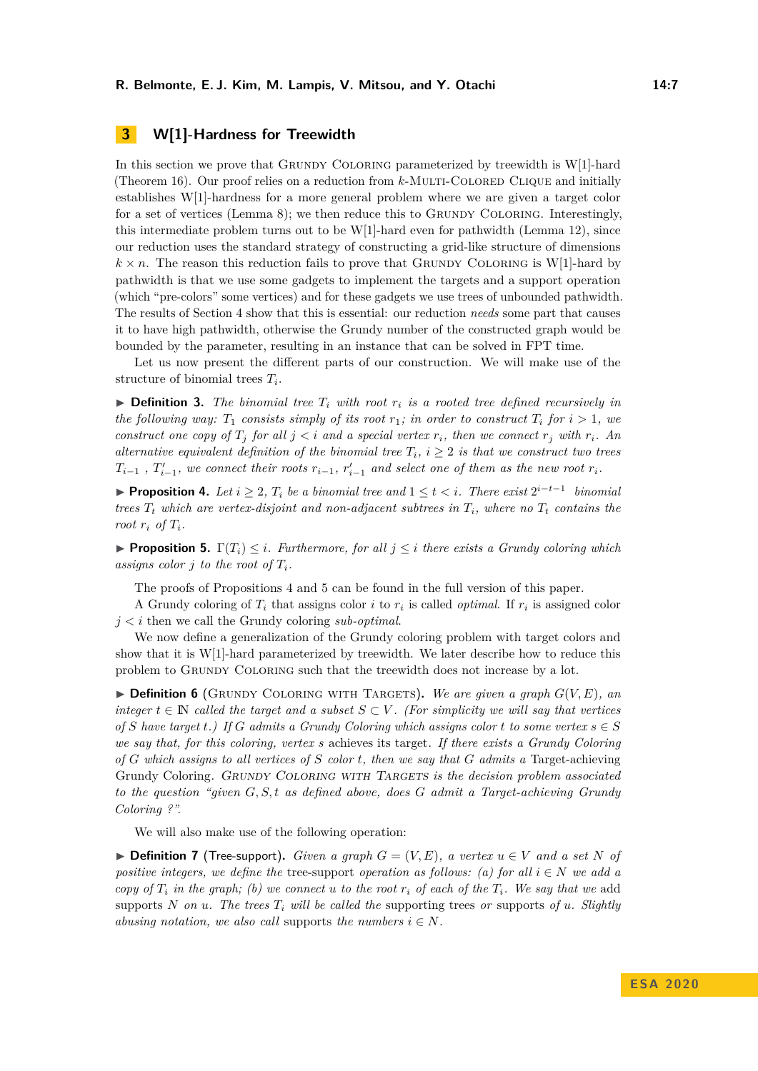# <span id="page-6-2"></span>**3 W[1]-Hardness for Treewidth**

In this section we prove that GRUNDY COLORING parameterized by treewidth is W[1]-hard (Theorem [16\)](#page-11-0). Our proof relies on a reduction from *k*-Multi-Colored Clique and initially establishes W[1]-hardness for a more general problem where we are given a target color for a set of vertices (Lemma [8\)](#page-8-0); we then reduce this to GRUNDY COLORING. Interestingly, this intermediate problem turns out to be  $W[1]$ -hard even for pathwidth (Lemma [12\)](#page-9-0), since our reduction uses the standard strategy of constructing a grid-like structure of dimensions  $k \times n$ . The reason this reduction fails to prove that GRUNDY COLORING is W[1]-hard by pathwidth is that we use some gadgets to implement the targets and a support operation (which "pre-colors" some vertices) and for these gadgets we use trees of unbounded pathwidth. The results of Section [4](#page-11-1) show that this is essential: our reduction *needs* some part that causes it to have high pathwidth, otherwise the Grundy number of the constructed graph would be bounded by the parameter, resulting in an instance that can be solved in FPT time.

Let us now present the different parts of our construction. We will make use of the structure of binomial trees *T<sup>i</sup>* .

 $\triangleright$  **Definition 3.** The binomial tree  $T_i$  with root  $r_i$  is a rooted tree defined recursively in *the following way:*  $T_1$  *consists simply of its root*  $r_1$ *; in order to construct*  $T_i$  *for*  $i > 1$ *, we construct one copy of*  $T_j$  *for all*  $j < i$  *and a special vertex*  $r_i$ *, then we connect*  $r_j$  *with*  $r_i$ *. An alternative equivalent definition of the binomial tree*  $T_i$ ,  $i \geq 2$  *is that we construct two trees*  $T_{i-1}$ ,  $T'_{i-1}$ , we connect their roots  $r_{i-1}$ ,  $r'_{i-1}$  and select one of them as the new root  $r_i$ .

<span id="page-6-0"></span>**Proposition 4.** Let  $i \geq 2$ ,  $T_i$  be a binomial tree and  $1 \leq t < i$ . There exist  $2^{i-t-1}$  binomial *trees*  $T_t$  *which are vertex-disjoint and non-adjacent subtrees in*  $T_i$ *, where no*  $T_t$  *contains the root*  $r_i$  *of*  $T_i$ *.* 

<span id="page-6-1"></span>**Proposition 5.**  $\Gamma(T_i) \leq i$ *. Furthermore, for all*  $j \leq i$  *there exists a Grundy coloring which* assigns color  $i$  to the root of  $T_i$ .

The proofs of Propositions [4](#page-6-0) and [5](#page-6-1) can be found in the full version of this paper.

A Grundy coloring of  $T_i$  that assigns color *i* to  $r_i$  is called *optimal*. If  $r_i$  is assigned color *j < i* then we call the Grundy coloring *sub-optimal*.

We now define a generalization of the Grundy coloring problem with target colors and show that it is W[1]-hard parameterized by treewidth. We later describe how to reduce this problem to Grundy Coloring such that the treewidth does not increase by a lot.

 $\triangleright$  **Definition 6** (GRUNDY COLORING WITH TARGETS). We are given a graph  $G(V, E)$ , an *integer*  $t \in \mathbb{N}$  *called the target and a subset*  $S \subset V$ *. (For simplicity we will say that vertices of S have target t*.) If *G admits a Grundy Coloring which assigns color t to some vertex*  $s \in S$ *we say that, for this coloring, vertex s* achieves its target*. If there exists a Grundy Coloring of G which assigns to all vertices of S color t, then we say that G admits a* Target-achieving Grundy Coloring. GRUNDY COLORING WITH TARGETS *is the decision problem associated to the question "given G, S, t as defined above, does G admit a Target-achieving Grundy Coloring ?".*

We will also make use of the following operation:

▶ **Definition 7** (Tree-support). *Given a graph*  $G = (V, E)$ , a vertex  $u \in V$  and a set N of *positive integers, we define the* tree-support *operation as follows:* (a) for all  $i \in N$  *we add a copy of*  $T_i$  *in the graph; (b) we connect u to the root*  $r_i$  *of each of the*  $T_i$ *. We say that we add* supports *N* on *u*. The trees  $T_i$  will be called the supporting trees or supports of *u*. Slightly *abusing notation, we also call supports the numbers*  $i \in N$ *.*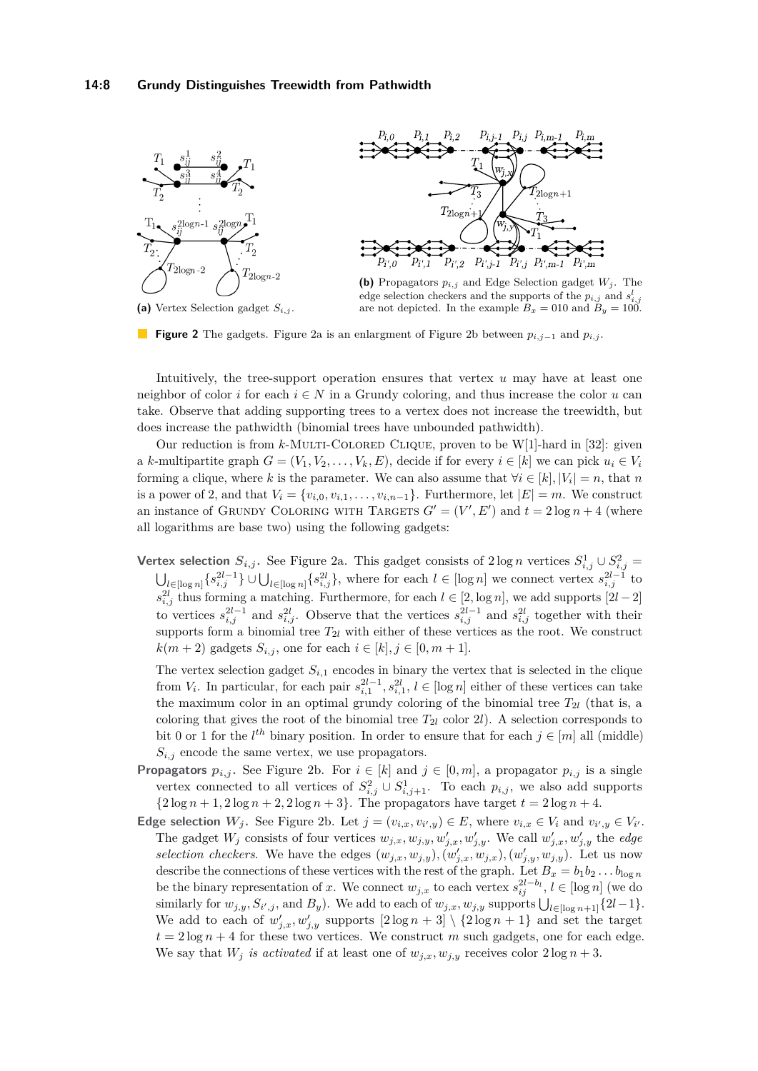<span id="page-7-0"></span>

**(a)** Vertex Selection gadget *Si,j* .

edge selection checkers and the supports of the  $p_{i,j}$  and  $s_{i,j}^l$ are not depicted. In the example  $B_x = 010$  and  $B_y = 100$ .

**Figure 2** The gadgets. Figure [2a](#page-7-0) is an enlargment of Figure [2b](#page-7-0) between *pi,j*−<sup>1</sup> and *pi,j* .

Intuitively, the tree-support operation ensures that vertex *u* may have at least one neighbor of color *i* for each  $i \in N$  in a Grundy coloring, and thus increase the color *u* can take. Observe that adding supporting trees to a vertex does not increase the treewidth, but does increase the pathwidth (binomial trees have unbounded pathwidth).

Our reduction is from *k*-Multi-Colored Clique, proven to be W[1]-hard in [\[32\]](#page-16-14): given a *k*-multipartite graph  $G = (V_1, V_2, \ldots, V_k, E)$ , decide if for every  $i \in [k]$  we can pick  $u_i \in V_i$ forming a clique, where *k* is the parameter. We can also assume that  $\forall i \in [k], |V_i| = n$ , that *n* is a power of 2, and that  $V_i = \{v_{i,0}, v_{i,1}, \ldots, v_{i,n-1}\}\.$  Furthermore, let  $|E| = m$ . We construct an instance of GRUNDY COLORING WITH TARGETS  $G' = (V', E')$  and  $t = 2 \log n + 4$  (where all logarithms are base two) using the following gadgets:

**Vertex selection**  $S_{i,j}$ . See Figure [2a.](#page-7-0) This gadget consists of  $2 \log n$  vertices  $S_{i,j}^1 \cup S_{i,j}^2 =$  $\bigcup_{l \in [\log n]} \{s_{i,j}^{2l-1}\} \cup \bigcup_{l \in [\log n]} \{s_{i,j}^{2l}\},\$  where for each  $l \in [\log n]$  we connect vertex  $s_{i,j}^{2l-1}$  to  $s_{i,j}^{2l}$  thus forming a matching. Furthermore, for each  $l \in [2, \log n]$ , we add supports  $[2l - 2]$ to vertices  $s_{i,j}^{2l-1}$  and  $s_{i,j}^{2l}$ . Observe that the vertices  $s_{i,j}^{2l-1}$  and  $s_{i,j}^{2l}$  together with their supports form a binomial tree  $T_{2l}$  with either of these vertices as the root. We construct  $k(m+2)$  gadgets  $S_{i,j}$ , one for each  $i \in [k], j \in [0, m+1].$ 

The vertex selection gadget  $S_{i,1}$  encodes in binary the vertex that is selected in the clique from  $V_i$ . In particular, for each pair  $s_{i,1}^{2l-1}, s_{i,1}^{2l}, l \in [\log n]$  either of these vertices can take the maximum color in an optimal grundy coloring of the binomial tree  $T_{2l}$  (that is, a coloring that gives the root of the binomial tree  $T_{2l}$  color 2*l*). A selection corresponds to bit 0 or 1 for the  $l^{th}$  binary position. In order to ensure that for each  $j \in [m]$  all (middle)  $S_{i,j}$  encode the same vertex, we use propagators.

- **Propagators**  $p_{i,j}$ . See Figure [2b.](#page-7-0) For  $i \in [k]$  and  $j \in [0, m]$ , a propagator  $p_{i,j}$  is a single vertex connected to all vertices of  $S^2_{i,j} \cup S^1_{i,j+1}$ . To each  $p_{i,j}$ , we also add supports  ${2 \log n + 1, 2 \log n + 2, 2 \log n + 3}.$  The propagators have target  $t = 2 \log n + 4.$
- **Edge selection**  $W_j$ . See Figure [2b.](#page-7-0) Let  $j = (v_{i,x}, v_{i',y}) \in E$ , where  $v_{i,x} \in V_i$  and  $v_{i',y} \in V_{i'}$ . The gadget  $W_j$  consists of four vertices  $w_{j,x}, w_{j,y}, w'_{j,x}, w'_{j,y}$ . We call  $w'_{j,x}, w'_{j,y}$  the *edge selection checkers*. We have the edges  $(w_{j,x}, w_{j,y})$ ,  $(w'_{j,x}, w_{j,x})$ ,  $(w'_{j,y}, w'_{j,y})$ . Let us now describe the connections of these vertices with the rest of the graph. Let  $B_x = b_1 b_2 \ldots b_{\log n}$ be the binary representation of *x*. We connect  $w_{j,x}$  to each vertex  $s_{ij}^{2l-b_l}$ ,  $l \in [\log n]$  (we do similarly for  $w_{j,y}$ ,  $S_{i',j}$ , and  $B_y$ ). We add to each of  $w_{j,x}$ ,  $w_{j,y}$  supports  $\bigcup_{l \in [\log n+1]} \{2l-1\}$ . We add to each of  $w'_{j,x}, w'_{j,y}$  supports  $[2 \log n + 3] \setminus \{2 \log n + 1\}$  and set the target  $t = 2 \log n + 4$  for these two vertices. We construct *m* such gadgets, one for each edge. We say that  $W_j$  *is activated* if at least one of  $w_{j,x}, w_{j,y}$  receives color  $2 \log n + 3$ .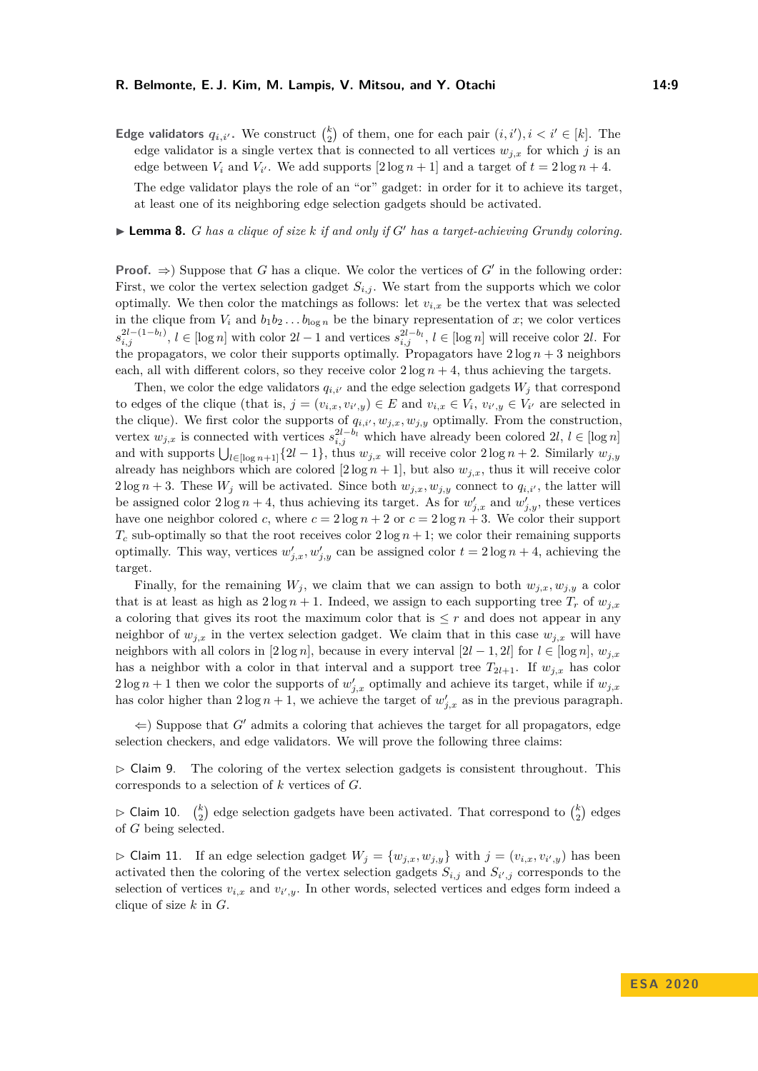**Edge validators**  $q_{i,i'}$ . We construct  $\binom{k}{2}$  of them, one for each pair  $(i, i'), i < i' \in [k]$ . The edge validator is a single vertex that is connected to all vertices  $w_{j,x}$  for which *j* is an edge between  $V_i$  and  $V_{i'}$ . We add supports  $[2 \log n + 1]$  and a target of  $t = 2 \log n + 4$ .

The edge validator plays the role of an "or" gadget: in order for it to achieve its target, at least one of its neighboring edge selection gadgets should be activated.

<span id="page-8-0"></span>**Lemma 8.** *G* has a clique of size  $k$  if and only if  $G'$  has a target-achieving Grundy coloring.

**Proof.**  $\Rightarrow$  Suppose that *G* has a clique. We color the vertices of *G'* in the following order: First, we color the vertex selection gadget  $S_{i,j}$ . We start from the supports which we color optimally. We then color the matchings as follows: let  $v_{i,x}$  be the vertex that was selected in the clique from  $V_i$  and  $b_1b_2 \ldots b_{\log n}$  be the binary representation of x; we color vertices  $s_{i,j}^{2l-(1-b_l)}$ ,  $l \in [\log n]$  with color  $2l-1$  and vertices  $s_{i,j}^{2l-b_l}$ ,  $l \in [\log n]$  will receive color 2l. For the propagators, we color their supports optimally. Propagators have  $2 \log n + 3$  neighbors each, all with different colors, so they receive color  $2 \log n + 4$ , thus achieving the targets.

Then, we color the edge validators  $q_{i,i'}$  and the edge selection gadgets  $W_i$  that correspond to edges of the clique (that is,  $j = (v_{i,x}, v_{i',y}) \in E$  and  $v_{i,x} \in V_i$ ,  $v_{i',y} \in V_{i'}$  are selected in the clique). We first color the supports of  $q_{i,i'}, w_{j,x}, w_{j,y}$  optimally. From the construction, vertex  $w_{j,x}$  is connected with vertices  $s_{i,j}^{2l-b_i}$  which have already been colored 2*l*,  $l \in [\log n]$ and with supports  $\bigcup_{l \in [\log n+1]} \{2l-1\}$ , thus  $w_{j,x}$  will receive color  $2 \log n + 2$ . Similarly  $w_{j,y}$ already has neighbors which are colored  $[2 \log n + 1]$ , but also  $w_{j,x}$ , thus it will receive color  $2 \log n + 3$ . These  $W_j$  will be activated. Since both  $w_{j,x}, w_{j,y}$  connect to  $q_{i,i'}$ , the latter will be assigned color  $2\log n + 4$ , thus achieving its target. As for  $w'_{j,x}$  and  $w'_{j,y}$ , these vertices have one neighbor colored *c*, where  $c = 2 \log n + 2$  or  $c = 2 \log n + 3$ . We color their support  $T_c$  sub-optimally so that the root receives color  $2 \log n + 1$ ; we color their remaining supports optimally. This way, vertices  $w'_{j,x}, w'_{j,y}$  can be assigned color  $t = 2 \log n + 4$ , achieving the target.

Finally, for the remaining  $W_j$ , we claim that we can assign to both  $w_{j,x}, w_{j,y}$  a color that is at least as high as  $2 \log n + 1$ . Indeed, we assign to each supporting tree  $T_r$  of  $w_{j,x}$ a coloring that gives its root the maximum color that is  $\leq r$  and does not appear in any neighbor of  $w_{j,x}$  in the vertex selection gadget. We claim that in this case  $w_{j,x}$  will have neighbors with all colors in  $[2 \log n]$ , because in every interval  $[2l - 1, 2l]$  for  $l \in [\log n]$ ,  $w_{j,x}$ has a neighbor with a color in that interval and a support tree  $T_{2l+1}$ . If  $w_{j,x}$  has color  $2 \log n + 1$  then we color the supports of  $w'_{j,x}$  optimally and achieve its target, while if  $w_{j,x}$ has color higher than  $2 \log n + 1$ , we achieve the target of  $w'_{j,x}$  as in the previous paragraph.

 $\Leftarrow$ ) Suppose that *G'* admits a coloring that achieves the target for all propagators, edge selection checkers, and edge validators. We will prove the following three claims:

<span id="page-8-1"></span> $\triangleright$  Claim 9. The coloring of the vertex selection gadgets is consistent throughout. This corresponds to a selection of *k* vertices of *G*.

<span id="page-8-2"></span> $\triangleright$  Claim 10.  $\binom{k}{2}$  edge selection gadgets have been activated. That correspond to  $\binom{k}{2}$  edges of *G* being selected.

<span id="page-8-3"></span> $\triangleright$  Claim 11. If an edge selection gadget  $W_j = \{w_{j,x}, w_{j,y}\}\$  with  $j = (v_{i,x}, v_{i',y})$  has been activated then the coloring of the vertex selection gadgets  $S_{i,j}$  and  $S_{i',j}$  corresponds to the selection of vertices  $v_{i,x}$  and  $v_{i',y}$ . In other words, selected vertices and edges form indeed a clique of size *k* in *G*.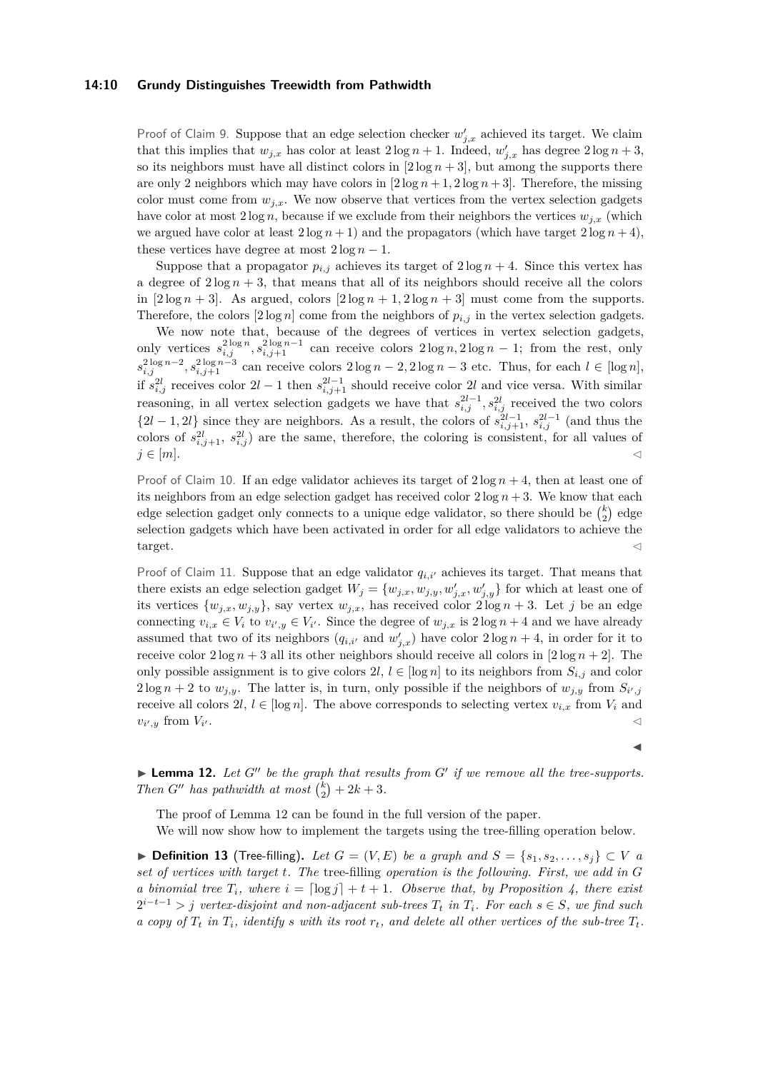### **14:10 Grundy Distinguishes Treewidth from Pathwidth**

Proof of Claim [9.](#page-8-1) Suppose that an edge selection checker  $w'_{j,x}$  achieved its target. We claim that this implies that  $w_{j,x}$  has color at least  $2\log n + 1$ . Indeed,  $w'_{j,x}$  has degree  $2\log n + 3$ , so its neighbors must have all distinct colors in  $[2 \log n + 3]$ , but among the supports there are only 2 neighbors which may have colors in  $[2 \log n + 1, 2 \log n + 3]$ . Therefore, the missing color must come from  $w_{j,x}$ . We now observe that vertices from the vertex selection gadgets have color at most  $2 \log n$ , because if we exclude from their neighbors the vertices  $w_{i,x}$  (which we argued have color at least  $2 \log n + 1$ ) and the propagators (which have target  $2 \log n + 4$ ), these vertices have degree at most  $2 \log n - 1$ .

Suppose that a propagator  $p_{i,j}$  achieves its target of  $2 \log n + 4$ . Since this vertex has a degree of  $2 \log n + 3$ , that means that all of its neighbors should receive all the colors in  $[2 \log n + 3]$ . As argued, colors  $[2 \log n + 1, 2 \log n + 3]$  must come from the supports. Therefore, the colors  $[2 \log n]$  come from the neighbors of  $p_{i,j}$  in the vertex selection gadgets.

We now note that, because of the degrees of vertices in vertex selection gadgets, only vertices  $s_{i,j}^{2\log n}, s_{i,j+1}^{2\log n-1}$  can receive colors  $2\log n, 2\log n-1$ ; from the rest, only  $s_{i,j}^{2 \log n - 2}$ ,  $s_{i,j+1}^{2 \log n - 3}$  can receive colors  $2 \log n - 2$ ,  $2 \log n - 3$  etc. Thus, for each  $l \in [\log n]$ , if  $s_{i,j}^{2l}$  receives color  $2l-1$  then  $s_{i,j+1}^{2l-1}$  should receive color 2*l* and vice versa. With similar reasoning, in all vertex selection gadgets we have that  $s_{i,j}^{2l-1}, s_{i,j}^{2l}$  received the two colors  ${2l - 1, 2l}$  since they are neighbors. As a result, the colors of  $s_{i,j+1}^{2l-1}$ ,  $s_{i,j}^{2l-1}$  (and thus the colors of  $s_{i,j+1}^{2l}$ ,  $s_{i,j}^{2l}$  are the same, therefore, the coloring is consistent, for all values of  $j \in [m]$ .

Proof of Claim [10.](#page-8-2) If an edge validator achieves its target of  $2 \log n + 4$ , then at least one of its neighbors from an edge selection gadget has received color  $2 \log n + 3$ . We know that each edge selection gadget only connects to a unique edge validator, so there should be  $\binom{k}{2}$  edge selection gadgets which have been activated in order for all edge validators to achieve the  $t = \frac{1}{2}$ 

Proof of Claim [11.](#page-8-3) Suppose that an edge validator  $q_{i,i'}$  achieves its target. That means that there exists an edge selection gadget  $W_j = \{w_{j,x}, w_{j,y}, w'_{j,x}, w'_{j,y}\}$  for which at least one of its vertices  $\{w_{j,x}, w_{j,y}\}$ , say vertex  $w_{j,x}$ , has received color  $2\log n + 3$ . Let *j* be an edge connecting  $v_{i,x} \in V_i$  to  $v_{i',y} \in V_{i'}$ . Since the degree of  $w_{j,x}$  is  $2\log n + 4$  and we have already assumed that two of its neighbors  $(q_{i,i'}$  and  $w'_{j,x}$ ) have color  $2 \log n + 4$ , in order for it to receive color  $2 \log n + 3$  all its other neighbors should receive all colors in  $[2 \log n + 2]$ . The only possible assignment is to give colors  $2l, l \in [\log n]$  to its neighbors from  $S_{i,j}$  and color  $2 \log n + 2$  to  $w_{j,y}$ . The latter is, in turn, only possible if the neighbors of  $w_{j,y}$  from  $S_{i',j}$ receive all colors  $2l, l \in [\log n]$ . The above corresponds to selecting vertex  $v_{i,x}$  from  $V_i$  and  $v_{i',y}$  from  $V_i$  $\mathcal{O}_1$  . Consider the construction of the construction of  $\mathcal{O}_2$ 

J

<span id="page-9-0"></span> $\blacktriangleright$  **Lemma 12.** Let  $G''$  be the graph that results from  $G'$  if we remove all the tree-supports. *Then*  $G''$  has pathwidth at most  ${k \choose 2} + 2k + 3$ .

The proof of Lemma [12](#page-9-0) can be found in the full version of the paper.

We will now show how to implement the targets using the tree-filling operation below.

▶ **Definition 13** (Tree-filling). Let  $G = (V, E)$  be a graph and  $S = \{s_1, s_2, \ldots, s_i\}$  ⊂ *V* a *set of vertices with target t. The* tree-filling *operation is the following. First, we add in G a binomial tree*  $T_i$ *, where*  $i = \left[\log j\right] + t + 1$ *. Observe that, by Proposition [4,](#page-6-0) there exist*  $2^{i-t-1}$  *> j* vertex-disjoint and non-adjacent sub-trees  $T_t$  in  $T_i$ . For each  $s \in S$ , we find such *a copy of*  $T_t$  *in*  $T_i$ *, identify s with its root*  $r_t$ *, and delete all other vertices of the sub-tree*  $T_t$ *.*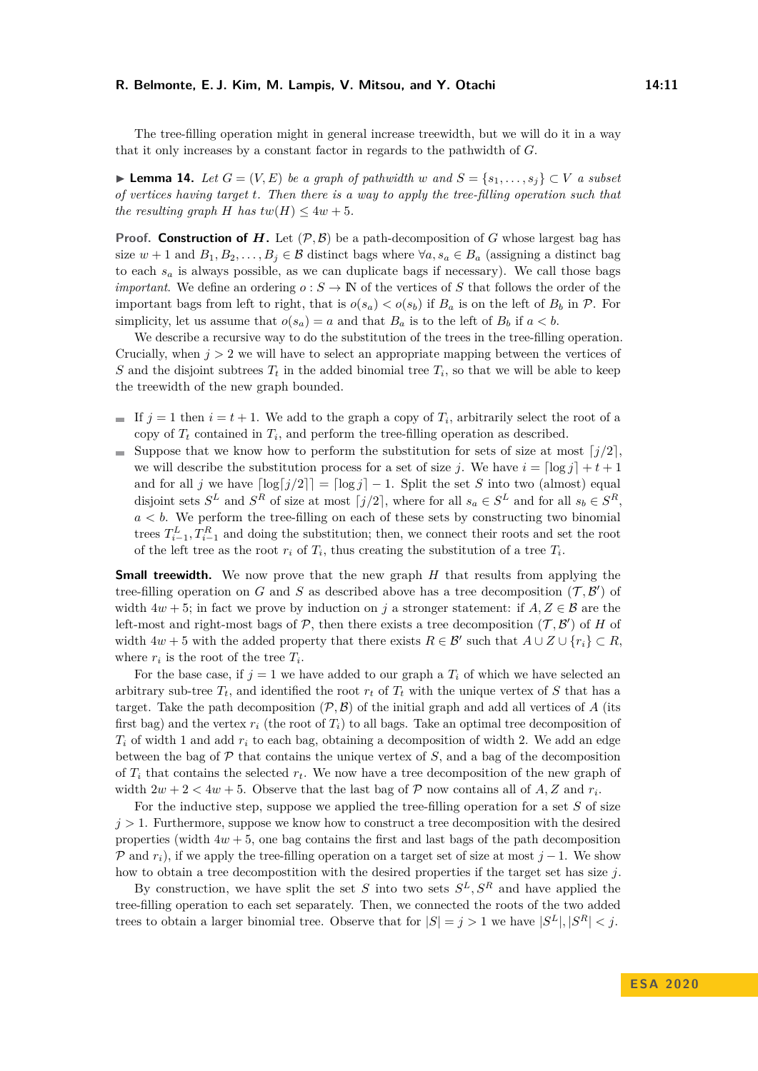The tree-filling operation might in general increase treewidth, but we will do it in a way that it only increases by a constant factor in regards to the pathwidth of *G*.

▶ **Lemma 14.** *Let*  $G = (V, E)$  *be a graph of pathwidth w and*  $S = \{s_1, \ldots, s_j\} \subset V$  *a subset of vertices having target t. Then there is a way to apply the tree-filling operation such that the resulting graph H has*  $tw(H) \leq 4w + 5$ *.* 

**Proof.** Construction of  $H$ . Let  $(\mathcal{P}, \mathcal{B})$  be a path-decomposition of  $G$  whose largest bag has size  $w + 1$  and  $B_1, B_2, \ldots, B_j \in \mathcal{B}$  distinct bags where  $\forall a, s_a \in B_a$  (assigning a distinct bag to each  $s_a$  is always possible, as we can duplicate bags if necessary). We call those bags *important*. We define an ordering  $o: S \to \mathbb{N}$  of the vertices of *S* that follows the order of the important bags from left to right, that is  $o(s_a) < o(s_b)$  if  $B_a$  is on the left of  $B_b$  in  $\mathcal P$ . For simplicity, let us assume that  $o(s_a) = a$  and that  $B_a$  is to the left of  $B_b$  if  $a < b$ .

We describe a recursive way to do the substitution of the trees in the tree-filling operation. Crucially, when  $j > 2$  we will have to select an appropriate mapping between the vertices of *S* and the disjoint subtrees  $T_t$  in the added binomial tree  $T_i$ , so that we will be able to keep the treewidth of the new graph bounded.

- If  $j = 1$  then  $i = t + 1$ . We add to the graph a copy of  $T_i$ , arbitrarily select the root of a copy of  $T_t$  contained in  $T_i$ , and perform the tree-filling operation as described.
- Suppose that we know how to perform the substitution for sets of size at most  $\lceil j/2 \rceil$ , we will describe the substitution process for a set of size *j*. We have  $i = \lceil \log i \rceil + t + 1$ and for all *j* we have  $\lceil \log(j)/2 \rceil = \lceil \log j \rceil - 1$ . Split the set *S* into two (almost) equal disjoint sets  $S^L$  and  $S^R$  of size at most  $\lceil j/2 \rceil$ , where for all  $s_a \in S^L$  and for all  $s_b \in S^R$ ,  $a < b$ . We perform the tree-filling on each of these sets by constructing two binomial trees  $T_{i-1}^L, T_{i-1}^R$  and doing the substitution; then, we connect their roots and set the root of the left tree as the root  $r_i$  of  $T_i$ , thus creating the substitution of a tree  $T_i$ .

**Small treewidth.** We now prove that the new graph *H* that results from applying the tree-filling operation on *G* and *S* as described above has a tree decomposition  $(\mathcal{T}, \mathcal{B}')$  of width  $4w + 5$ ; in fact we prove by induction on *j* a stronger statement: if  $A, Z \in \mathcal{B}$  are the left-most and right-most bags of  $P$ , then there exists a tree decomposition  $(T, \mathcal{B}')$  of *H* of width  $4w + 5$  with the added property that there exists  $R \in \mathcal{B}'$  such that  $A \cup Z \cup \{r_i\} \subset R$ , where  $r_i$  is the root of the tree  $T_i$ .

For the base case, if  $j = 1$  we have added to our graph a  $T_i$  of which we have selected an arbitrary sub-tree  $T_t$ , and identified the root  $r_t$  of  $T_t$  with the unique vertex of  $S$  that has a target. Take the path decomposition  $(\mathcal{P}, \mathcal{B})$  of the initial graph and add all vertices of *A* (its first bag) and the vertex  $r_i$  (the root of  $T_i$ ) to all bags. Take an optimal tree decomposition of  $T_i$  of width 1 and add  $r_i$  to each bag, obtaining a decomposition of width 2. We add an edge between the bag of  $\mathcal P$  that contains the unique vertex of  $S$ , and a bag of the decomposition of  $T_i$  that contains the selected  $r_t$ . We now have a tree decomposition of the new graph of width  $2w + 2 < 4w + 5$ . Observe that the last bag of  $P$  now contains all of  $A, Z$  and  $r_i$ .

For the inductive step, suppose we applied the tree-filling operation for a set *S* of size  $j > 1$ . Furthermore, suppose we know how to construct a tree decomposition with the desired properties (width  $4w + 5$ , one bag contains the first and last bags of the path decomposition P and  $r_i$ ), if we apply the tree-filling operation on a target set of size at most  $j-1$ . We show how to obtain a tree decompostition with the desired properties if the target set has size *j*.

By construction, we have split the set *S* into two sets  $S^L$ ,  $S^R$  and have applied the tree-filling operation to each set separately. Then, we connected the roots of the two added trees to obtain a larger binomial tree. Observe that for  $|S| = j > 1$  we have  $|S^L|, |S^R| < j$ .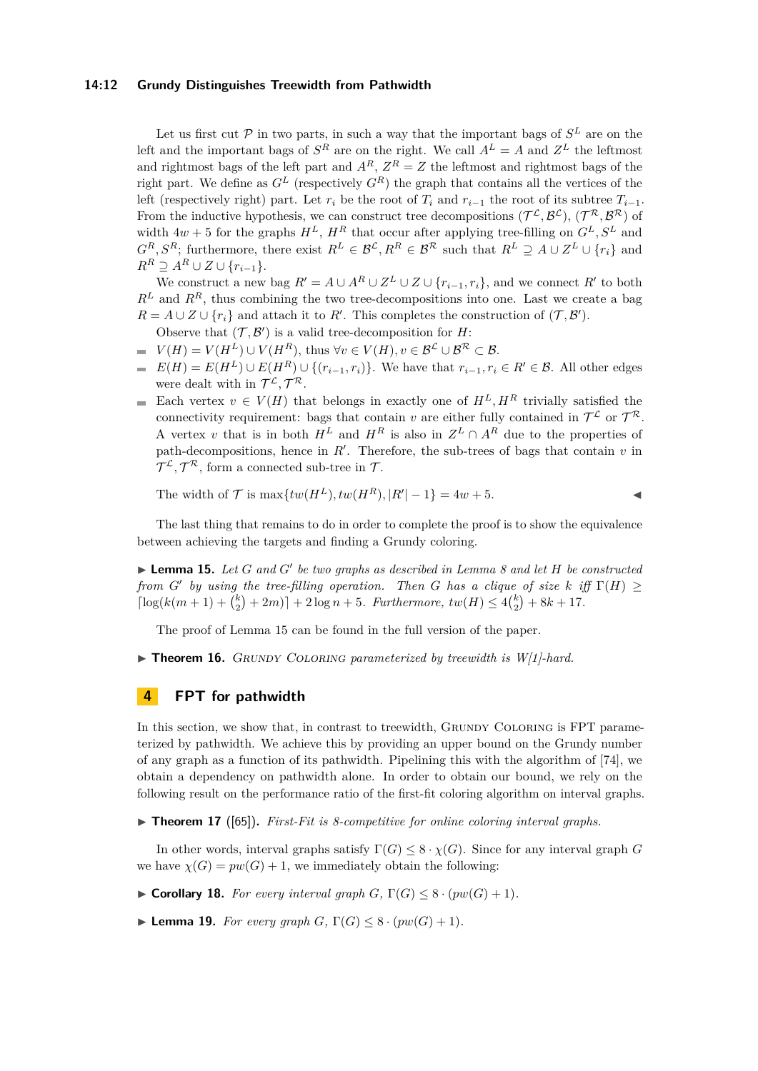### **14:12 Grundy Distinguishes Treewidth from Pathwidth**

Let us first cut  $P$  in two parts, in such a way that the important bags of  $S<sup>L</sup>$  are on the left and the important bags of  $S<sup>R</sup>$  are on the right. We call  $A<sup>L</sup> = A$  and  $Z<sup>L</sup>$  the leftmost and rightmost bags of the left part and  $A^R$ ,  $Z^R = Z$  the leftmost and rightmost bags of the right part. We define as  $G^L$  (respectively  $G^R$ ) the graph that contains all the vertices of the left (respectively right) part. Let  $r_i$  be the root of  $T_i$  and  $r_{i-1}$  the root of its subtree  $T_{i-1}$ . From the inductive hypothesis, we can construct tree decompositions  $(\mathcal{T}^{\mathcal{L}}, \mathcal{B}^{\mathcal{L}})$ ,  $(\mathcal{T}^{\mathcal{R}}, \mathcal{B}^{\mathcal{R}})$  of width  $4w + 5$  for the graphs  $H^L$ ,  $H^R$  that occur after applying tree-filling on  $G^L$ ,  $S^L$  and  $G^R, S^R$ ; furthermore, there exist  $R^L \in \mathcal{B}^{\mathcal{L}}, R^R \in \mathcal{B}^{\mathcal{R}}$  such that  $R^L \supseteq A \cup Z^L \cup \{r_i\}$  and  $R^R \supseteq A^R \cup Z \cup \{r_{i-1}\}.$ 

We construct a new bag  $R' = A \cup A^R \cup Z^L \cup Z \cup \{r_{i-1}, r_i\}$ , and we connect  $R'$  to both  $R^L$  and  $R^R$ , thus combining the two tree-decompositions into one. Last we create a bag  $R = A \cup Z \cup \{r_i\}$  and attach it to  $R'$ . This completes the construction of  $(\mathcal{T}, \mathcal{B}')$ .

- Observe that  $(\mathcal{T}, \mathcal{B}')$  is a valid tree-decomposition for *H*:
- $V(H) = V(H^L) \cup V(H^R)$ , thus  $\forall v \in V(H)$ ,  $v \in \mathcal{B}^{\mathcal{L}} \cup \mathcal{B}^{\mathcal{R}} \subset \mathcal{B}$ . ÷.
- $E(H) = E(H^L) \cup E(H^R) \cup \{(r_{i-1}, r_i)\}\.$  We have that  $r_{i-1}, r_i \in R' \in \mathcal{B}$ . All other edges were dealt with in  $\mathcal{T}^{\mathcal{L}}, \mathcal{T}^{\mathcal{R}}$ .
- Each vertex  $v \in V(H)$  that belongs in exactly one of  $H^L, H^R$  trivially satisfied the  $\blacksquare$ connectivity requirement: bags that contain *v* are either fully contained in  $\mathcal{T}^{\mathcal{L}}$  or  $\mathcal{T}^{\mathcal{R}}$ . A vertex *v* that is in both  $H^L$  and  $H^R$  is also in  $Z^L \cap A^R$  due to the properties of path-decompositions, hence in  $R'$ . Therefore, the sub-trees of bags that contain  $v$  in  $\mathcal{T}^{\mathcal{L}}, \mathcal{T}^{\mathcal{R}},$  form a connected sub-tree in  $\mathcal{T}.$

The width of 
$$
\mathcal{T}
$$
 is  $\max\{tw(H^L), tw(H^R), |R'| - 1\} = 4w + 5.$ 

The last thing that remains to do in order to complete the proof is to show the equivalence between achieving the targets and finding a Grundy coloring.

<span id="page-11-2"></span> $\blacktriangleright$  **Lemma 15.** Let *G* and *G*<sup> $\prime$ </sup> be two graphs as described in Lemma [8](#page-8-0) and let *H* be constructed *from G*<sup> $\prime$ </sup> *by using the tree-filling operation. Then <i>G has a clique of size k iff*  $\Gamma(H) \geq$  $\left[\log(k(m+1) + {k \choose 2} + 2m)\right] + 2\log n + 5$ *. Furthermore,*  $tw(H) \leq 4{k \choose 2} + 8k + 17$ *.* 

The proof of Lemma [15](#page-11-2) can be found in the full version of the paper.

<span id="page-11-0"></span> $\triangleright$  **Theorem 16.** GRUNDY COLORING parameterized by treewidth is W[1]-hard.

# <span id="page-11-1"></span>**4 FPT for pathwidth**

In this section, we show that, in contrast to treewidth, GRUNDY COLORING is FPT parameterized by pathwidth. We achieve this by providing an upper bound on the Grundy number of any graph as a function of its pathwidth. Pipelining this with the algorithm of [\[74\]](#page-18-2), we obtain a dependency on pathwidth alone. In order to obtain our bound, we rely on the following result on the performance ratio of the first-fit coloring algorithm on interval graphs.

▶ **Theorem 17** ([\[65\]](#page-18-6)). *First-Fit is 8-competitive for online coloring interval graphs.* 

In other words, interval graphs satisfy  $\Gamma(G) \leq 8 \cdot \chi(G)$ . Since for any interval graph *G* we have  $\chi(G) = pw(G) + 1$ , we immediately obtain the following:

<span id="page-11-3"></span> $\blacktriangleright$  **Corollary 18.** For every interval graph  $G$ ,  $\Gamma(G) \leq 8 \cdot (pw(G) + 1)$ .

<span id="page-11-4"></span>**Example 19.** *For every graph G*,  $\Gamma(G) \leq 8 \cdot (pw(G) + 1)$ *.*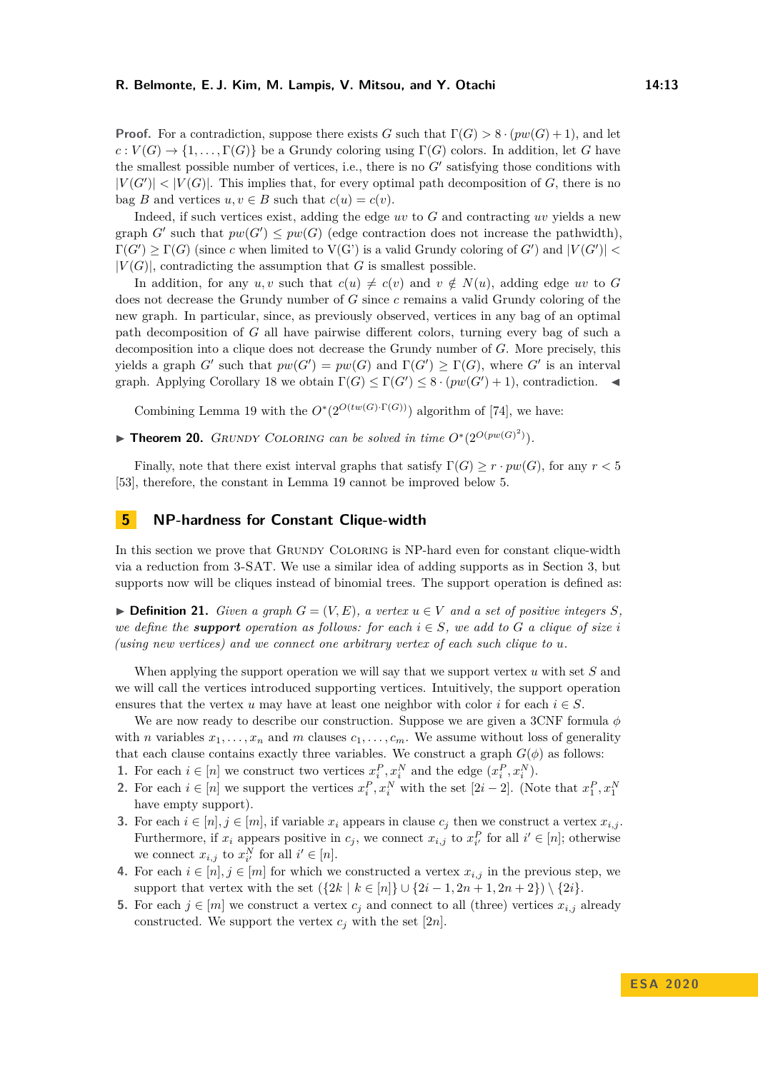**Proof.** For a contradiction, suppose there exists *G* such that  $\Gamma(G) > 8 \cdot (pw(G) + 1)$ , and let  $c: V(G) \to \{1, \ldots, \Gamma(G)\}\$ be a Grundy coloring using  $\Gamma(G)$  colors. In addition, let *G* have the smallest possible number of vertices, i.e., there is no  $G'$  satisfying those conditions with  $|V(G')| < |V(G)|$ . This implies that, for every optimal path decomposition of *G*, there is no bag *B* and vertices  $u, v \in B$  such that  $c(u) = c(v)$ .

Indeed, if such vertices exist, adding the edge *uv* to *G* and contracting *uv* yields a new graph *G'* such that  $pw(G') \leq pw(G)$  (edge contraction does not increase the pathwidth),  $\Gamma(G') \geq \Gamma(G)$  (since *c* when limited to  $V(G')$  is a valid Grundy coloring of *G'*) and  $|V(G')|$  $|V(G)|$ , contradicting the assumption that *G* is smallest possible.

In addition, for any  $u, v$  such that  $c(u) \neq c(v)$  and  $v \notin N(u)$ , adding edge  $uv$  to G does not decrease the Grundy number of *G* since *c* remains a valid Grundy coloring of the new graph. In particular, since, as previously observed, vertices in any bag of an optimal path decomposition of *G* all have pairwise different colors, turning every bag of such a decomposition into a clique does not decrease the Grundy number of *G*. More precisely, this yields a graph *G*<sup> $\prime$ </sup> such that  $pw(G') = pw(G)$  and  $\Gamma(G') \geq \Gamma(G)$ , where *G*<sup> $\prime$ </sup> is an interval graph. Applying Corollary [18](#page-11-3) we obtain  $\Gamma(G) \leq \Gamma(G') \leq 8 \cdot (pw(G')+1)$ , contradiction.

Combining Lemma [19](#page-11-4) with the  $O^*(2^{O(tw(G)\cdot \Gamma(G))})$  algorithm of [\[74\]](#page-18-2), we have:

<span id="page-12-0"></span>▶ **Theorem 20.** GRUNDY COLORING can be solved in time  $O^*(2^{O(pw(G)^2)})$ .

Finally, note that there exist interval graphs that satisfy  $\Gamma(G) \geq r \cdot pw(G)$ , for any  $r < 5$ [\[53\]](#page-17-3), therefore, the constant in Lemma [19](#page-11-4) cannot be improved below 5.

### **5 NP-hardness for Constant Clique-width**

In this section we prove that GRUNDY COLORING is NP-hard even for constant clique-width via a reduction from 3-SAT. We use a similar idea of adding supports as in Section [3,](#page-6-2) but supports now will be cliques instead of binomial trees. The support operation is defined as:

▶ **Definition 21.** *Given a graph*  $G = (V, E)$ *, a vertex*  $u \in V$  *and a set of positive integers*  $S$ *, we define the support operation as follows: for each*  $i \in S$ *, we add to*  $G$  *a clique of size i (using new vertices) and we connect one arbitrary vertex of each such clique to u.*

When applying the support operation we will say that we support vertex *u* with set *S* and we will call the vertices introduced supporting vertices. Intuitively, the support operation ensures that the vertex *u* may have at least one neighbor with color *i* for each  $i \in S$ .

We are now ready to describe our construction. Suppose we are given a 3CNF formula *φ* with *n* variables  $x_1, \ldots, x_n$  and *m* clauses  $c_1, \ldots, c_m$ . We assume without loss of generality that each clause contains exactly three variables. We construct a graph  $G(\phi)$  as follows:

- **1.** For each  $i \in [n]$  we construct two vertices  $x_i^P, x_i^N$  and the edge  $(x_i^P, x_i^N)$ .
- **2.** For each  $i \in [n]$  we support the vertices  $x_i^P, x_i^N$  with the set  $[2i-2]$ . (Note that  $x_1^P, x_1^N$ have empty support).
- **3.** For each  $i \in [n], j \in [m]$ , if variable  $x_i$  appears in clause  $c_j$  then we construct a vertex  $x_{i,j}$ . Furthermore, if  $x_i$  appears positive in  $c_j$ , we connect  $x_{i,j}$  to  $x_{i'}^P$  for all  $i' \in [n]$ ; otherwise we connect  $x_{i,j}$  to  $x_{i'}^N$  for all  $i' \in [n]$ .
- **4.** For each  $i \in [n], j \in [m]$  for which we constructed a vertex  $x_{i,j}$  in the previous step, we support that vertex with the set  $({2k | k \in [n]} \cup {2i - 1, 2n + 1, 2n + 2}) \setminus {2i}.$
- **5.** For each  $j \in [m]$  we construct a vertex  $c_j$  and connect to all (three) vertices  $x_{i,j}$  already constructed. We support the vertex  $c_j$  with the set  $[2n]$ .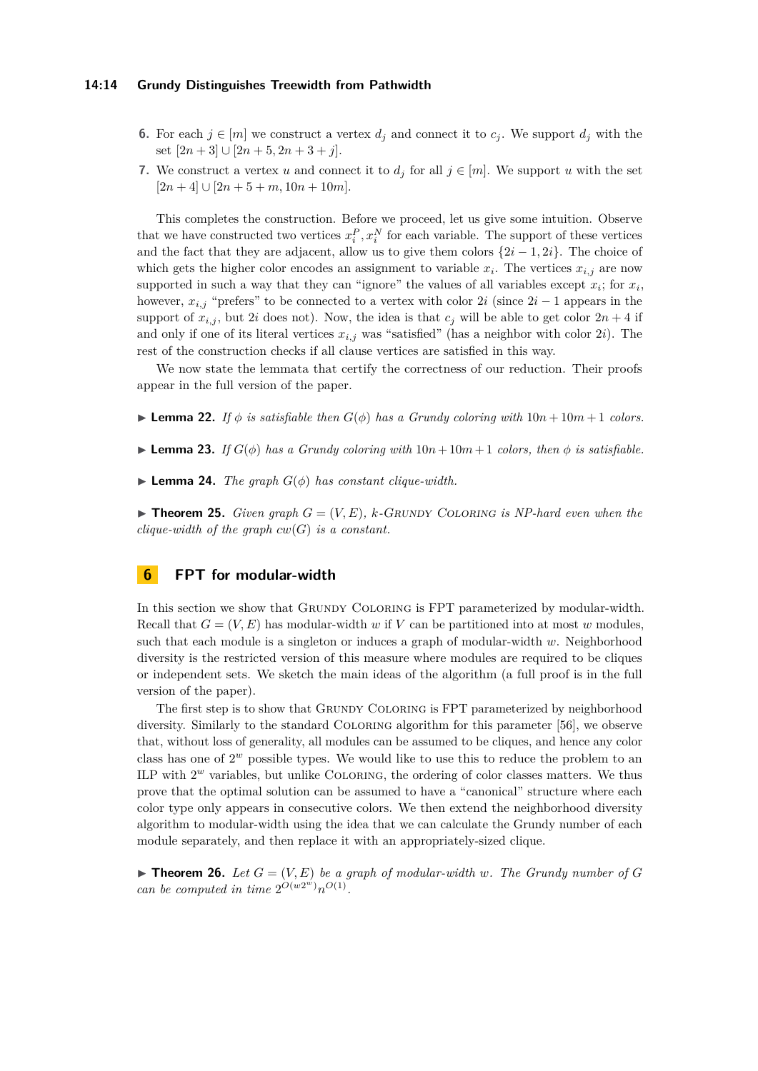### **14:14 Grundy Distinguishes Treewidth from Pathwidth**

- **6.** For each  $j \in [m]$  we construct a vertex  $d_j$  and connect it to  $c_j$ . We support  $d_j$  with the set [2*n* + 3] ∪ [2*n* + 5*,* 2*n* + 3 + *j*].
- **7.** We construct a vertex *u* and connect it to  $d_j$  for all  $j \in [m]$ . We support *u* with the set  $[2n+4] \cup [2n+5+m, 10n+10m].$

This completes the construction. Before we proceed, let us give some intuition. Observe that we have constructed two vertices  $x_i^P, x_i^N$  for each variable. The support of these vertices and the fact that they are adjacent, allow us to give them colors {2*i* − 1*,* 2*i*}. The choice of which gets the higher color encodes an assignment to variable  $x_i$ . The vertices  $x_{i,j}$  are now supported in such a way that they can "ignore" the values of all variables except  $x_i$ ; for  $x_i$ , however,  $x_{i,j}$  "prefers" to be connected to a vertex with color 2*i* (since  $2i-1$  appears in the support of  $x_{i,j}$ , but 2*i* does not). Now, the idea is that  $c_j$  will be able to get color  $2n + 4$  if and only if one of its literal vertices *xi,j* was "satisfied" (has a neighbor with color 2*i*). The rest of the construction checks if all clause vertices are satisfied in this way.

We now state the lemmata that certify the correctness of our reduction. Their proofs appear in the full version of the paper.

- **Lemma 22.** If  $\phi$  is satisfiable then  $G(\phi)$  has a Grundy coloring with  $10n + 10m + 1$  colors.
- **Lemma 23.** *If*  $G(\phi)$  *has a Grundy coloring with*  $10n + 10m + 1$  *colors, then*  $\phi$  *is satisfiable.*
- $\blacktriangleright$  **Lemma 24.** *The graph*  $G(\phi)$  *has constant clique-width.*

<span id="page-13-0"></span> $\triangleright$  **Theorem 25.** *Given graph*  $G = (V, E)$ , *k*-*GRUNDY COLORING is NP-hard even when the clique-width of the graph*  $cw(G)$  *is a constant.* 

# **6 FPT for modular-width**

In this section we show that GRUNDY COLORING is FPT parameterized by modular-width. Recall that  $G = (V, E)$  has modular-width *w* if V can be partitioned into at most *w* modules, such that each module is a singleton or induces a graph of modular-width *w*. Neighborhood diversity is the restricted version of this measure where modules are required to be cliques or independent sets. We sketch the main ideas of the algorithm (a full proof is in the full version of the paper).

The first step is to show that Grundy Coloring is FPT parameterized by neighborhood diversity. Similarly to the standard Coloring algorithm for this parameter [\[56\]](#page-17-4), we observe that, without loss of generality, all modules can be assumed to be cliques, and hence any color class has one of  $2^w$  possible types. We would like to use this to reduce the problem to an ILP with  $2^w$  variables, but unlike COLORING, the ordering of color classes matters. We thus prove that the optimal solution can be assumed to have a "canonical" structure where each color type only appears in consecutive colors. We then extend the neighborhood diversity algorithm to modular-width using the idea that we can calculate the Grundy number of each module separately, and then replace it with an appropriately-sized clique.

<span id="page-13-1"></span> $\blacktriangleright$  **Theorem 26.** Let  $G = (V, E)$  be a graph of modular-width w. The Grundy number of G *can be computed in time*  $2^{O(w2^w)}n^{O(1)}$ *.*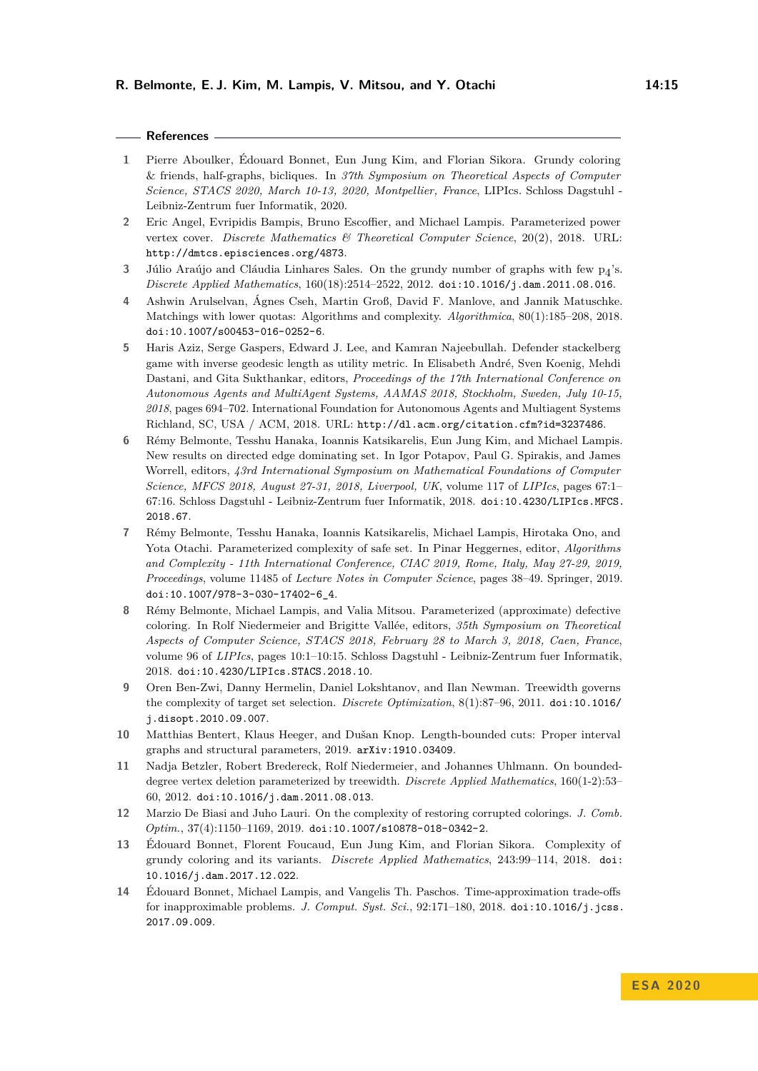### **References**

- <span id="page-14-0"></span>**1** Pierre Aboulker, Édouard Bonnet, Eun Jung Kim, and Florian Sikora. Grundy coloring & friends, half-graphs, bicliques. In *37th Symposium on Theoretical Aspects of Computer Science, STACS 2020, March 10-13, 2020, Montpellier, France*, LIPIcs. Schloss Dagstuhl - Leibniz-Zentrum fuer Informatik, 2020.
- <span id="page-14-9"></span>**2** Eric Angel, Evripidis Bampis, Bruno Escoffier, and Michael Lampis. Parameterized power vertex cover. *Discrete Mathematics & Theoretical Computer Science*, 20(2), 2018. URL: <http://dmtcs.episciences.org/4873>.
- <span id="page-14-1"></span>**3** Júlio Araújo and Cláudia Linhares Sales. On the grundy number of graphs with few p4 's. *Discrete Applied Mathematics*, 160(18):2514–2522, 2012. [doi:10.1016/j.dam.2011.08.016](https://doi.org/10.1016/j.dam.2011.08.016).
- <span id="page-14-11"></span>**4** Ashwin Arulselvan, Ágnes Cseh, Martin Groß, David F. Manlove, and Jannik Matuschke. Matchings with lower quotas: Algorithms and complexity. *Algorithmica*, 80(1):185–208, 2018. [doi:10.1007/s00453-016-0252-6](https://doi.org/10.1007/s00453-016-0252-6).
- <span id="page-14-12"></span>**5** Haris Aziz, Serge Gaspers, Edward J. Lee, and Kamran Najeebullah. Defender stackelberg game with inverse geodesic length as utility metric. In Elisabeth André, Sven Koenig, Mehdi Dastani, and Gita Sukthankar, editors, *Proceedings of the 17th International Conference on Autonomous Agents and MultiAgent Systems, AAMAS 2018, Stockholm, Sweden, July 10-15, 2018*, pages 694–702. International Foundation for Autonomous Agents and Multiagent Systems Richland, SC, USA / ACM, 2018. URL: <http://dl.acm.org/citation.cfm?id=3237486>.
- <span id="page-14-13"></span>**6** Rémy Belmonte, Tesshu Hanaka, Ioannis Katsikarelis, Eun Jung Kim, and Michael Lampis. New results on directed edge dominating set. In Igor Potapov, Paul G. Spirakis, and James Worrell, editors, *43rd International Symposium on Mathematical Foundations of Computer Science, MFCS 2018, August 27-31, 2018, Liverpool, UK*, volume 117 of *LIPIcs*, pages 67:1– 67:16. Schloss Dagstuhl - Leibniz-Zentrum fuer Informatik, 2018. [doi:10.4230/LIPIcs.MFCS.](https://doi.org/10.4230/LIPIcs.MFCS.2018.67) [2018.67](https://doi.org/10.4230/LIPIcs.MFCS.2018.67).
- <span id="page-14-10"></span>**7** Rémy Belmonte, Tesshu Hanaka, Ioannis Katsikarelis, Michael Lampis, Hirotaka Ono, and Yota Otachi. Parameterized complexity of safe set. In Pinar Heggernes, editor, *Algorithms and Complexity - 11th International Conference, CIAC 2019, Rome, Italy, May 27-29, 2019, Proceedings*, volume 11485 of *Lecture Notes in Computer Science*, pages 38–49. Springer, 2019. [doi:10.1007/978-3-030-17402-6\\_4](https://doi.org/10.1007/978-3-030-17402-6_4).
- <span id="page-14-8"></span>**8** Rémy Belmonte, Michael Lampis, and Valia Mitsou. Parameterized (approximate) defective coloring. In Rolf Niedermeier and Brigitte Vallée, editors, *35th Symposium on Theoretical Aspects of Computer Science, STACS 2018, February 28 to March 3, 2018, Caen, France*, volume 96 of *LIPIcs*, pages 10:1–10:15. Schloss Dagstuhl - Leibniz-Zentrum fuer Informatik, 2018. [doi:10.4230/LIPIcs.STACS.2018.10](https://doi.org/10.4230/LIPIcs.STACS.2018.10).
- <span id="page-14-5"></span>**9** Oren Ben-Zwi, Danny Hermelin, Daniel Lokshtanov, and Ilan Newman. Treewidth governs the complexity of target set selection. *Discrete Optimization*, 8(1):87–96, 2011. [doi:10.1016/](https://doi.org/10.1016/j.disopt.2010.09.007) [j.disopt.2010.09.007](https://doi.org/10.1016/j.disopt.2010.09.007).
- <span id="page-14-4"></span>**10** Matthias Bentert, Klaus Heeger, and Dušan Knop. Length-bounded cuts: Proper interval graphs and structural parameters, 2019. [arXiv:1910.03409](http://arxiv.org/abs/1910.03409).
- <span id="page-14-6"></span>**11** Nadja Betzler, Robert Bredereck, Rolf Niedermeier, and Johannes Uhlmann. On boundeddegree vertex deletion parameterized by treewidth. *Discrete Applied Mathematics*, 160(1-2):53– 60, 2012. [doi:10.1016/j.dam.2011.08.013](https://doi.org/10.1016/j.dam.2011.08.013).
- <span id="page-14-7"></span>**12** Marzio De Biasi and Juho Lauri. On the complexity of restoring corrupted colorings. *J. Comb. Optim.*, 37(4):1150–1169, 2019. [doi:10.1007/s10878-018-0342-2](https://doi.org/10.1007/s10878-018-0342-2).
- <span id="page-14-3"></span>**13** Édouard Bonnet, Florent Foucaud, Eun Jung Kim, and Florian Sikora. Complexity of grundy coloring and its variants. *Discrete Applied Mathematics*, 243:99–114, 2018. [doi:](https://doi.org/10.1016/j.dam.2017.12.022) [10.1016/j.dam.2017.12.022](https://doi.org/10.1016/j.dam.2017.12.022).
- <span id="page-14-2"></span>**14** Édouard Bonnet, Michael Lampis, and Vangelis Th. Paschos. Time-approximation trade-offs for inapproximable problems. *J. Comput. Syst. Sci.*, 92:171–180, 2018. [doi:10.1016/j.jcss.](https://doi.org/10.1016/j.jcss.2017.09.009) [2017.09.009](https://doi.org/10.1016/j.jcss.2017.09.009).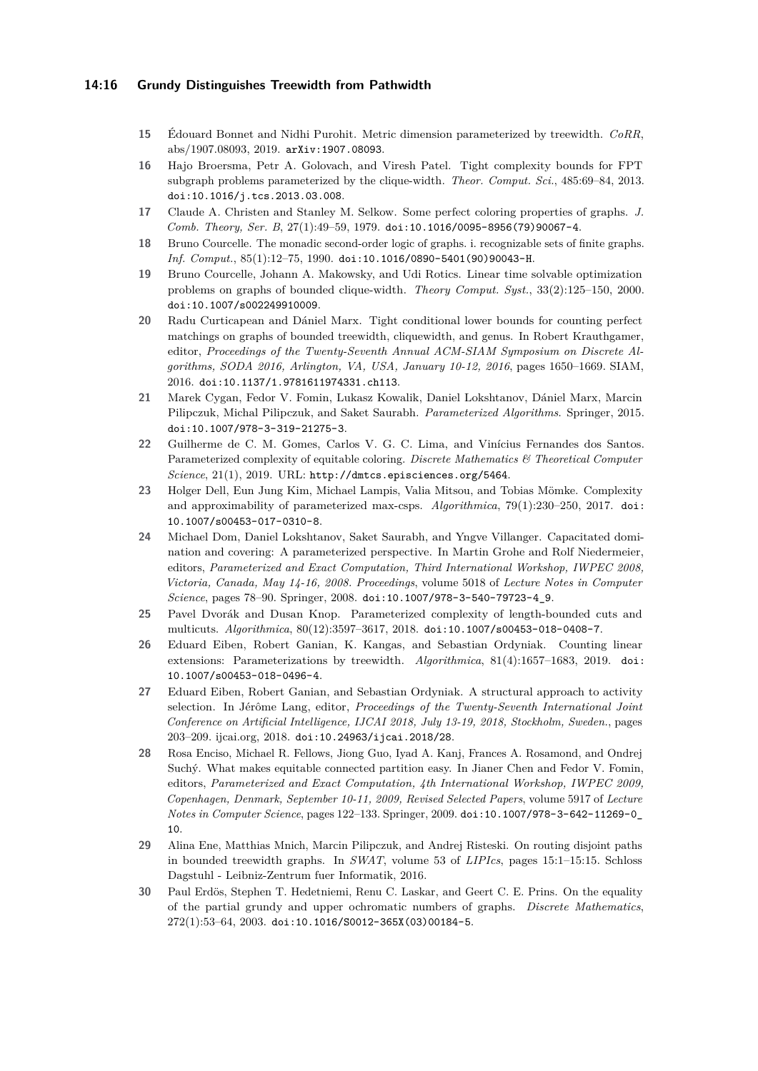### **14:16 Grundy Distinguishes Treewidth from Pathwidth**

- <span id="page-15-14"></span>**15** Édouard Bonnet and Nidhi Purohit. Metric dimension parameterized by treewidth. *CoRR*, abs/1907.08093, 2019. [arXiv:1907.08093](http://arxiv.org/abs/1907.08093).
- <span id="page-15-7"></span>**16** Hajo Broersma, Petr A. Golovach, and Viresh Patel. Tight complexity bounds for FPT subgraph problems parameterized by the clique-width. *Theor. Comput. Sci.*, 485:69–84, 2013. [doi:10.1016/j.tcs.2013.03.008](https://doi.org/10.1016/j.tcs.2013.03.008).
- <span id="page-15-2"></span>**17** Claude A. Christen and Stanley M. Selkow. Some perfect coloring properties of graphs. *J. Comb. Theory, Ser. B*, 27(1):49–59, 1979. [doi:10.1016/0095-8956\(79\)90067-4](https://doi.org/10.1016/0095-8956(79)90067-4).
- <span id="page-15-0"></span>**18** Bruno Courcelle. The monadic second-order logic of graphs. i. recognizable sets of finite graphs. *Inf. Comput.*, 85(1):12–75, 1990. [doi:10.1016/0890-5401\(90\)90043-H](https://doi.org/10.1016/0890-5401(90)90043-H).
- <span id="page-15-4"></span>**19** Bruno Courcelle, Johann A. Makowsky, and Udi Rotics. Linear time solvable optimization problems on graphs of bounded clique-width. *Theory Comput. Syst.*, 33(2):125–150, 2000. [doi:10.1007/s002249910009](https://doi.org/10.1007/s002249910009).
- <span id="page-15-5"></span>**20** Radu Curticapean and Dániel Marx. Tight conditional lower bounds for counting perfect matchings on graphs of bounded treewidth, cliquewidth, and genus. In Robert Krauthgamer, editor, *Proceedings of the Twenty-Seventh Annual ACM-SIAM Symposium on Discrete Algorithms, SODA 2016, Arlington, VA, USA, January 10-12, 2016*, pages 1650–1669. SIAM, 2016. [doi:10.1137/1.9781611974331.ch113](https://doi.org/10.1137/1.9781611974331.ch113).
- <span id="page-15-1"></span>**21** Marek Cygan, Fedor V. Fomin, Lukasz Kowalik, Daniel Lokshtanov, Dániel Marx, Marcin Pilipczuk, Michal Pilipczuk, and Saket Saurabh. *Parameterized Algorithms*. Springer, 2015. [doi:10.1007/978-3-319-21275-3](https://doi.org/10.1007/978-3-319-21275-3).
- <span id="page-15-9"></span>**22** Guilherme de C. M. Gomes, Carlos V. G. C. Lima, and Vinícius Fernandes dos Santos. Parameterized complexity of equitable coloring. *Discrete Mathematics & Theoretical Computer Science*, 21(1), 2019. URL: <http://dmtcs.episciences.org/5464>.
- <span id="page-15-6"></span>**23** Holger Dell, Eun Jung Kim, Michael Lampis, Valia Mitsou, and Tobias Mömke. Complexity and approximability of parameterized max-csps. *Algorithmica*, 79(1):230–250, 2017. [doi:](https://doi.org/10.1007/s00453-017-0310-8) [10.1007/s00453-017-0310-8](https://doi.org/10.1007/s00453-017-0310-8).
- <span id="page-15-10"></span>**24** Michael Dom, Daniel Lokshtanov, Saket Saurabh, and Yngve Villanger. Capacitated domination and covering: A parameterized perspective. In Martin Grohe and Rolf Niedermeier, editors, *Parameterized and Exact Computation, Third International Workshop, IWPEC 2008, Victoria, Canada, May 14-16, 2008. Proceedings*, volume 5018 of *Lecture Notes in Computer Science*, pages 78–90. Springer, 2008. [doi:10.1007/978-3-540-79723-4\\_9](https://doi.org/10.1007/978-3-540-79723-4_9).
- <span id="page-15-8"></span>**25** Pavel Dvorák and Dusan Knop. Parameterized complexity of length-bounded cuts and multicuts. *Algorithmica*, 80(12):3597–3617, 2018. [doi:10.1007/s00453-018-0408-7](https://doi.org/10.1007/s00453-018-0408-7).
- <span id="page-15-12"></span>**26** Eduard Eiben, Robert Ganian, K. Kangas, and Sebastian Ordyniak. Counting linear extensions: Parameterizations by treewidth. *Algorithmica*, 81(4):1657–1683, 2019. [doi:](https://doi.org/10.1007/s00453-018-0496-4) [10.1007/s00453-018-0496-4](https://doi.org/10.1007/s00453-018-0496-4).
- <span id="page-15-15"></span>**27** Eduard Eiben, Robert Ganian, and Sebastian Ordyniak. A structural approach to activity selection. In Jérôme Lang, editor, *Proceedings of the Twenty-Seventh International Joint Conference on Artificial Intelligence, IJCAI 2018, July 13-19, 2018, Stockholm, Sweden.*, pages 203–209. ijcai.org, 2018. [doi:10.24963/ijcai.2018/28](https://doi.org/10.24963/ijcai.2018/28).
- <span id="page-15-13"></span>**28** Rosa Enciso, Michael R. Fellows, Jiong Guo, Iyad A. Kanj, Frances A. Rosamond, and Ondrej Suchý. What makes equitable connected partition easy. In Jianer Chen and Fedor V. Fomin, editors, *Parameterized and Exact Computation, 4th International Workshop, IWPEC 2009, Copenhagen, Denmark, September 10-11, 2009, Revised Selected Papers*, volume 5917 of *Lecture Notes in Computer Science*, pages 122–133. Springer, 2009. [doi:10.1007/978-3-642-11269-0\\_](https://doi.org/10.1007/978-3-642-11269-0_10) [10](https://doi.org/10.1007/978-3-642-11269-0_10).
- <span id="page-15-11"></span>**29** Alina Ene, Matthias Mnich, Marcin Pilipczuk, and Andrej Risteski. On routing disjoint paths in bounded treewidth graphs. In *SWAT*, volume 53 of *LIPIcs*, pages 15:1–15:15. Schloss Dagstuhl - Leibniz-Zentrum fuer Informatik, 2016.
- <span id="page-15-3"></span>**30** Paul Erdös, Stephen T. Hedetniemi, Renu C. Laskar, and Geert C. E. Prins. On the equality of the partial grundy and upper ochromatic numbers of graphs. *Discrete Mathematics*, 272(1):53–64, 2003. [doi:10.1016/S0012-365X\(03\)00184-5](https://doi.org/10.1016/S0012-365X(03)00184-5).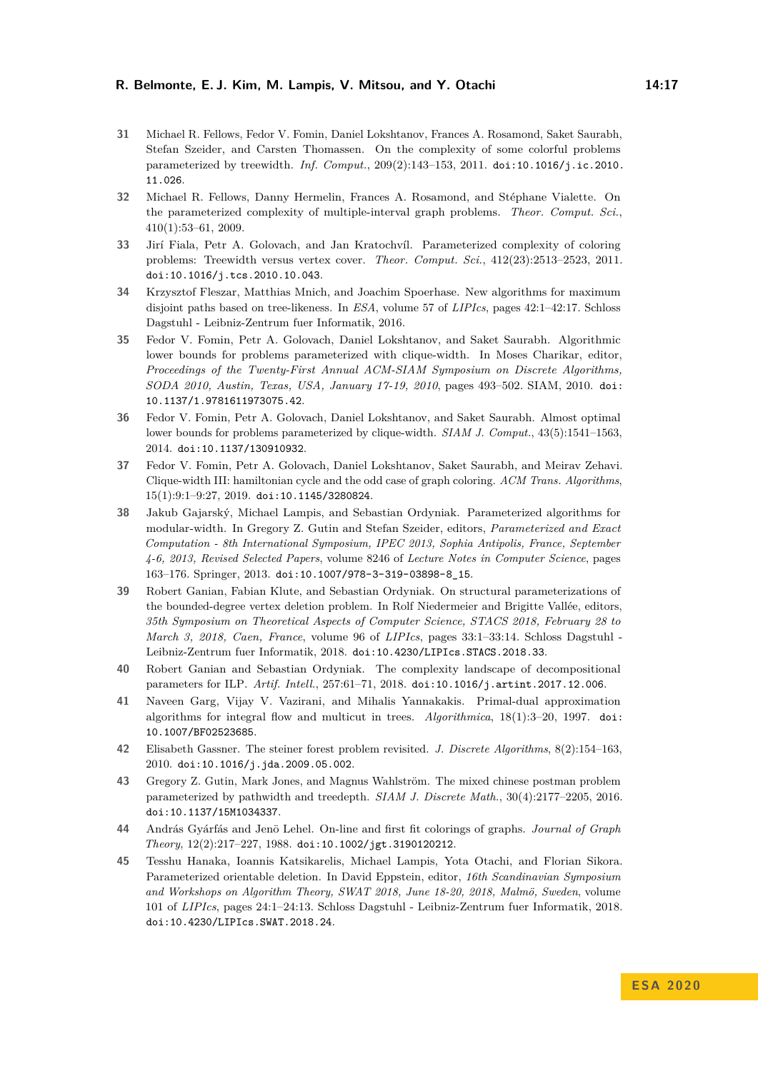- <span id="page-16-6"></span>**31** Michael R. Fellows, Fedor V. Fomin, Daniel Lokshtanov, Frances A. Rosamond, Saket Saurabh, Stefan Szeider, and Carsten Thomassen. On the complexity of some colorful problems parameterized by treewidth. *Inf. Comput.*, 209(2):143–153, 2011. [doi:10.1016/j.ic.2010.](https://doi.org/10.1016/j.ic.2010.11.026) [11.026](https://doi.org/10.1016/j.ic.2010.11.026).
- <span id="page-16-14"></span>**32** Michael R. Fellows, Danny Hermelin, Frances A. Rosamond, and Stéphane Vialette. On the parameterized complexity of multiple-interval graph problems. *Theor. Comput. Sci.*, 410(1):53–61, 2009.
- <span id="page-16-9"></span>**33** Jirí Fiala, Petr A. Golovach, and Jan Kratochvíl. Parameterized complexity of coloring problems: Treewidth versus vertex cover. *Theor. Comput. Sci.*, 412(23):2513–2523, 2011. [doi:10.1016/j.tcs.2010.10.043](https://doi.org/10.1016/j.tcs.2010.10.043).
- <span id="page-16-11"></span>**34** Krzysztof Fleszar, Matthias Mnich, and Joachim Spoerhase. New algorithms for maximum disjoint paths based on tree-likeness. In *ESA*, volume 57 of *LIPIcs*, pages 42:1–42:17. Schloss Dagstuhl - Leibniz-Zentrum fuer Informatik, 2016.
- <span id="page-16-2"></span>**35** Fedor V. Fomin, Petr A. Golovach, Daniel Lokshtanov, and Saket Saurabh. Algorithmic lower bounds for problems parameterized with clique-width. In Moses Charikar, editor, *Proceedings of the Twenty-First Annual ACM-SIAM Symposium on Discrete Algorithms, SODA 2010, Austin, Texas, USA, January 17-19, 2010*, pages 493–502. SIAM, 2010. [doi:](https://doi.org/10.1137/1.9781611973075.42) [10.1137/1.9781611973075.42](https://doi.org/10.1137/1.9781611973075.42).
- <span id="page-16-3"></span>**36** Fedor V. Fomin, Petr A. Golovach, Daniel Lokshtanov, and Saket Saurabh. Almost optimal lower bounds for problems parameterized by clique-width. *SIAM J. Comput.*, 43(5):1541–1563, 2014. [doi:10.1137/130910932](https://doi.org/10.1137/130910932).
- <span id="page-16-4"></span>**37** Fedor V. Fomin, Petr A. Golovach, Daniel Lokshtanov, Saket Saurabh, and Meirav Zehavi. Clique-width III: hamiltonian cycle and the odd case of graph coloring. *ACM Trans. Algorithms*, 15(1):9:1–9:27, 2019. [doi:10.1145/3280824](https://doi.org/10.1145/3280824).
- <span id="page-16-1"></span>**38** Jakub Gajarský, Michael Lampis, and Sebastian Ordyniak. Parameterized algorithms for modular-width. In Gregory Z. Gutin and Stefan Szeider, editors, *Parameterized and Exact Computation - 8th International Symposium, IPEC 2013, Sophia Antipolis, France, September 4-6, 2013, Revised Selected Papers*, volume 8246 of *Lecture Notes in Computer Science*, pages 163–176. Springer, 2013. [doi:10.1007/978-3-319-03898-8\\_15](https://doi.org/10.1007/978-3-319-03898-8_15).
- <span id="page-16-10"></span>**39** Robert Ganian, Fabian Klute, and Sebastian Ordyniak. On structural parameterizations of the bounded-degree vertex deletion problem. In Rolf Niedermeier and Brigitte Vallée, editors, *35th Symposium on Theoretical Aspects of Computer Science, STACS 2018, February 28 to March 3, 2018, Caen, France*, volume 96 of *LIPIcs*, pages 33:1–33:14. Schloss Dagstuhl - Leibniz-Zentrum fuer Informatik, 2018. [doi:10.4230/LIPIcs.STACS.2018.33](https://doi.org/10.4230/LIPIcs.STACS.2018.33).
- <span id="page-16-8"></span>**40** Robert Ganian and Sebastian Ordyniak. The complexity landscape of decompositional parameters for ILP. *Artif. Intell.*, 257:61–71, 2018. [doi:10.1016/j.artint.2017.12.006](https://doi.org/10.1016/j.artint.2017.12.006).
- <span id="page-16-13"></span>**41** Naveen Garg, Vijay V. Vazirani, and Mihalis Yannakakis. Primal-dual approximation algorithms for integral flow and multicut in trees. *Algorithmica*, 18(1):3–20, 1997. [doi:](https://doi.org/10.1007/BF02523685) [10.1007/BF02523685](https://doi.org/10.1007/BF02523685).
- <span id="page-16-12"></span>**42** Elisabeth Gassner. The steiner forest problem revisited. *J. Discrete Algorithms*, 8(2):154–163, 2010. [doi:10.1016/j.jda.2009.05.002](https://doi.org/10.1016/j.jda.2009.05.002).
- <span id="page-16-7"></span>**43** Gregory Z. Gutin, Mark Jones, and Magnus Wahlström. The mixed chinese postman problem parameterized by pathwidth and treedepth. *SIAM J. Discrete Math.*, 30(4):2177–2205, 2016. [doi:10.1137/15M1034337](https://doi.org/10.1137/15M1034337).
- <span id="page-16-0"></span>**44** András Gyárfás and Jenö Lehel. On-line and first fit colorings of graphs. *Journal of Graph Theory*, 12(2):217–227, 1988. [doi:10.1002/jgt.3190120212](https://doi.org/10.1002/jgt.3190120212).
- <span id="page-16-5"></span>**45** Tesshu Hanaka, Ioannis Katsikarelis, Michael Lampis, Yota Otachi, and Florian Sikora. Parameterized orientable deletion. In David Eppstein, editor, *16th Scandinavian Symposium and Workshops on Algorithm Theory, SWAT 2018, June 18-20, 2018, Malmö, Sweden*, volume 101 of *LIPIcs*, pages 24:1–24:13. Schloss Dagstuhl - Leibniz-Zentrum fuer Informatik, 2018. [doi:10.4230/LIPIcs.SWAT.2018.24](https://doi.org/10.4230/LIPIcs.SWAT.2018.24).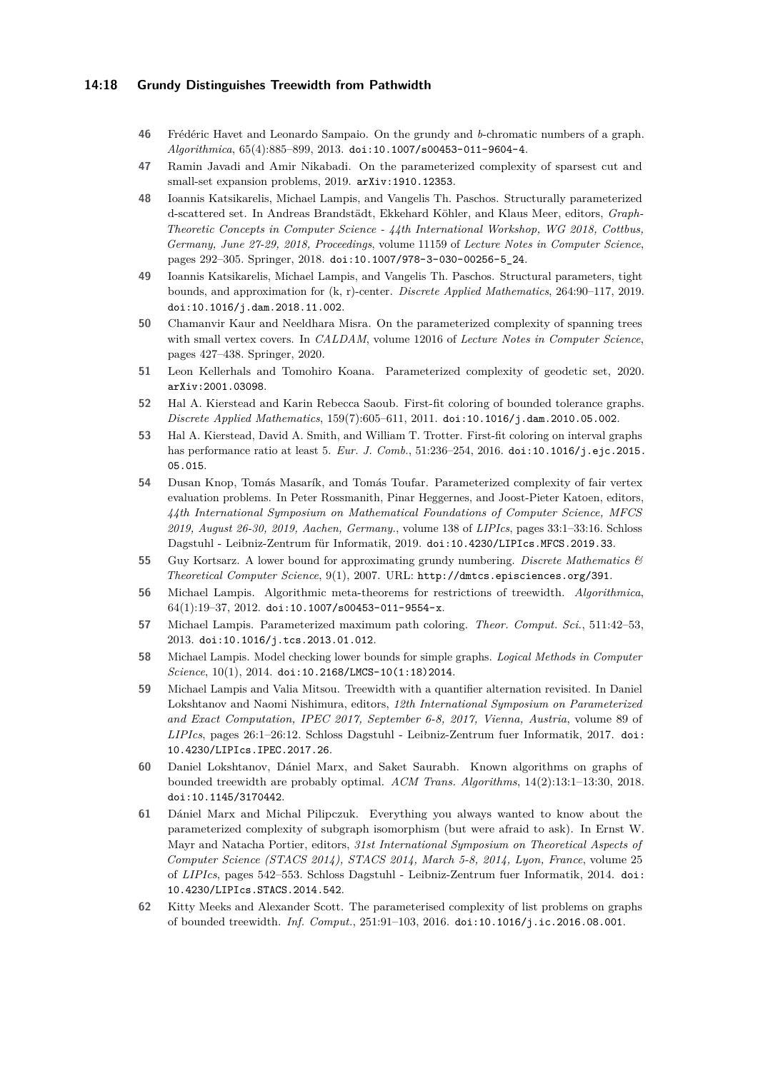### **14:18 Grundy Distinguishes Treewidth from Pathwidth**

- <span id="page-17-0"></span>**46** Frédéric Havet and Leonardo Sampaio. On the grundy and *b*-chromatic numbers of a graph. *Algorithmica*, 65(4):885–899, 2013. [doi:10.1007/s00453-011-9604-4](https://doi.org/10.1007/s00453-011-9604-4).
- <span id="page-17-15"></span>**47** Ramin Javadi and Amir Nikabadi. On the parameterized complexity of sparsest cut and small-set expansion problems, 2019. [arXiv:1910.12353](http://arxiv.org/abs/1910.12353).
- <span id="page-17-8"></span>**48** Ioannis Katsikarelis, Michael Lampis, and Vangelis Th. Paschos. Structurally parameterized d-scattered set. In Andreas Brandstädt, Ekkehard Köhler, and Klaus Meer, editors, *Graph-Theoretic Concepts in Computer Science - 44th International Workshop, WG 2018, Cottbus, Germany, June 27-29, 2018, Proceedings*, volume 11159 of *Lecture Notes in Computer Science*, pages 292–305. Springer, 2018. [doi:10.1007/978-3-030-00256-5\\_24](https://doi.org/10.1007/978-3-030-00256-5_24).
- <span id="page-17-7"></span>**49** Ioannis Katsikarelis, Michael Lampis, and Vangelis Th. Paschos. Structural parameters, tight bounds, and approximation for (k, r)-center. *Discrete Applied Mathematics*, 264:90–117, 2019. [doi:10.1016/j.dam.2018.11.002](https://doi.org/10.1016/j.dam.2018.11.002).
- <span id="page-17-9"></span>**50** Chamanvir Kaur and Neeldhara Misra. On the parameterized complexity of spanning trees with small vertex covers. In *CALDAM*, volume 12016 of *Lecture Notes in Computer Science*, pages 427–438. Springer, 2020.
- <span id="page-17-10"></span>**51** Leon Kellerhals and Tomohiro Koana. Parameterized complexity of geodetic set, 2020. [arXiv:2001.03098](http://arxiv.org/abs/2001.03098).
- <span id="page-17-1"></span>**52** Hal A. Kierstead and Karin Rebecca Saoub. First-fit coloring of bounded tolerance graphs. *Discrete Applied Mathematics*, 159(7):605–611, 2011. [doi:10.1016/j.dam.2010.05.002](https://doi.org/10.1016/j.dam.2010.05.002).
- <span id="page-17-3"></span>**53** Hal A. Kierstead, David A. Smith, and William T. Trotter. First-fit coloring on interval graphs has performance ratio at least 5. *Eur. J. Comb.*, 51:236–254, 2016. [doi:10.1016/j.ejc.2015.](https://doi.org/10.1016/j.ejc.2015.05.015) [05.015](https://doi.org/10.1016/j.ejc.2015.05.015).
- <span id="page-17-11"></span>**54** Dusan Knop, Tomás Masarík, and Tomás Toufar. Parameterized complexity of fair vertex evaluation problems. In Peter Rossmanith, Pinar Heggernes, and Joost-Pieter Katoen, editors, *44th International Symposium on Mathematical Foundations of Computer Science, MFCS 2019, August 26-30, 2019, Aachen, Germany.*, volume 138 of *LIPIcs*, pages 33:1–33:16. Schloss Dagstuhl - Leibniz-Zentrum für Informatik, 2019. [doi:10.4230/LIPIcs.MFCS.2019.33](https://doi.org/10.4230/LIPIcs.MFCS.2019.33).
- <span id="page-17-2"></span>**55** Guy Kortsarz. A lower bound for approximating grundy numbering. *Discrete Mathematics & Theoretical Computer Science*, 9(1), 2007. URL: <http://dmtcs.episciences.org/391>.
- <span id="page-17-4"></span>**56** Michael Lampis. Algorithmic meta-theorems for restrictions of treewidth. *Algorithmica*,  $64(1):19-37, 2012.$  [doi:10.1007/s00453-011-9554-x](https://doi.org/10.1007/s00453-011-9554-x).
- <span id="page-17-14"></span>**57** Michael Lampis. Parameterized maximum path coloring. *Theor. Comput. Sci.*, 511:42–53, 2013. [doi:10.1016/j.tcs.2013.01.012](https://doi.org/10.1016/j.tcs.2013.01.012).
- <span id="page-17-6"></span>**58** Michael Lampis. Model checking lower bounds for simple graphs. *Logical Methods in Computer Science*, 10(1), 2014. [doi:10.2168/LMCS-10\(1:18\)2014](https://doi.org/10.2168/LMCS-10(1:18)2014).
- <span id="page-17-5"></span>**59** Michael Lampis and Valia Mitsou. Treewidth with a quantifier alternation revisited. In Daniel Lokshtanov and Naomi Nishimura, editors, *12th International Symposium on Parameterized and Exact Computation, IPEC 2017, September 6-8, 2017, Vienna, Austria*, volume 89 of *LIPIcs*, pages 26:1–26:12. Schloss Dagstuhl - Leibniz-Zentrum fuer Informatik, 2017. [doi:](https://doi.org/10.4230/LIPIcs.IPEC.2017.26) [10.4230/LIPIcs.IPEC.2017.26](https://doi.org/10.4230/LIPIcs.IPEC.2017.26).
- <span id="page-17-16"></span>**60** Daniel Lokshtanov, Dániel Marx, and Saket Saurabh. Known algorithms on graphs of bounded treewidth are probably optimal. *ACM Trans. Algorithms*, 14(2):13:1–13:30, 2018. [doi:10.1145/3170442](https://doi.org/10.1145/3170442).
- <span id="page-17-13"></span>**61** Dániel Marx and Michal Pilipczuk. Everything you always wanted to know about the parameterized complexity of subgraph isomorphism (but were afraid to ask). In Ernst W. Mayr and Natacha Portier, editors, *31st International Symposium on Theoretical Aspects of Computer Science (STACS 2014), STACS 2014, March 5-8, 2014, Lyon, France*, volume 25 of *LIPIcs*, pages 542–553. Schloss Dagstuhl - Leibniz-Zentrum fuer Informatik, 2014. [doi:](https://doi.org/10.4230/LIPIcs.STACS.2014.542) [10.4230/LIPIcs.STACS.2014.542](https://doi.org/10.4230/LIPIcs.STACS.2014.542).
- <span id="page-17-12"></span>**62** Kitty Meeks and Alexander Scott. The parameterised complexity of list problems on graphs of bounded treewidth. *Inf. Comput.*, 251:91–103, 2016. [doi:10.1016/j.ic.2016.08.001](https://doi.org/10.1016/j.ic.2016.08.001).